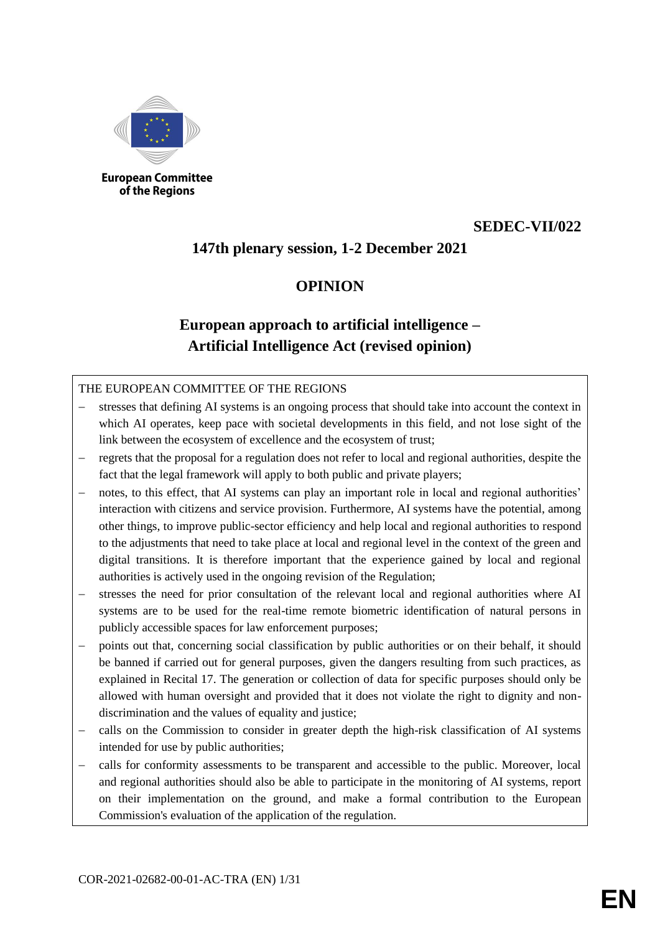

**European Committee** of the Regions

## **SEDEC-VII/022**

## **147th plenary session, 1-2 December 2021**

## **OPINION**

# **European approach to artificial intelligence – Artificial Intelligence Act (revised opinion)**

### THE EUROPEAN COMMITTEE OF THE REGIONS

- stresses that defining AI systems is an ongoing process that should take into account the context in which AI operates, keep pace with societal developments in this field, and not lose sight of the link between the ecosystem of excellence and the ecosystem of trust;
- regrets that the proposal for a regulation does not refer to local and regional authorities, despite the fact that the legal framework will apply to both public and private players;
- notes, to this effect, that AI systems can play an important role in local and regional authorities' interaction with citizens and service provision. Furthermore, AI systems have the potential, among other things, to improve public-sector efficiency and help local and regional authorities to respond to the adjustments that need to take place at local and regional level in the context of the green and digital transitions. It is therefore important that the experience gained by local and regional authorities is actively used in the ongoing revision of the Regulation;
- stresses the need for prior consultation of the relevant local and regional authorities where AI systems are to be used for the real-time remote biometric identification of natural persons in publicly accessible spaces for law enforcement purposes;
- points out that, concerning social classification by public authorities or on their behalf, it should be banned if carried out for general purposes, given the dangers resulting from such practices, as explained in Recital 17. The generation or collection of data for specific purposes should only be allowed with human oversight and provided that it does not violate the right to dignity and nondiscrimination and the values of equality and justice;
- calls on the Commission to consider in greater depth the high-risk classification of AI systems intended for use by public authorities;
- calls for conformity assessments to be transparent and accessible to the public. Moreover, local and regional authorities should also be able to participate in the monitoring of AI systems, report on their implementation on the ground, and make a formal contribution to the European Commission's evaluation of the application of the regulation.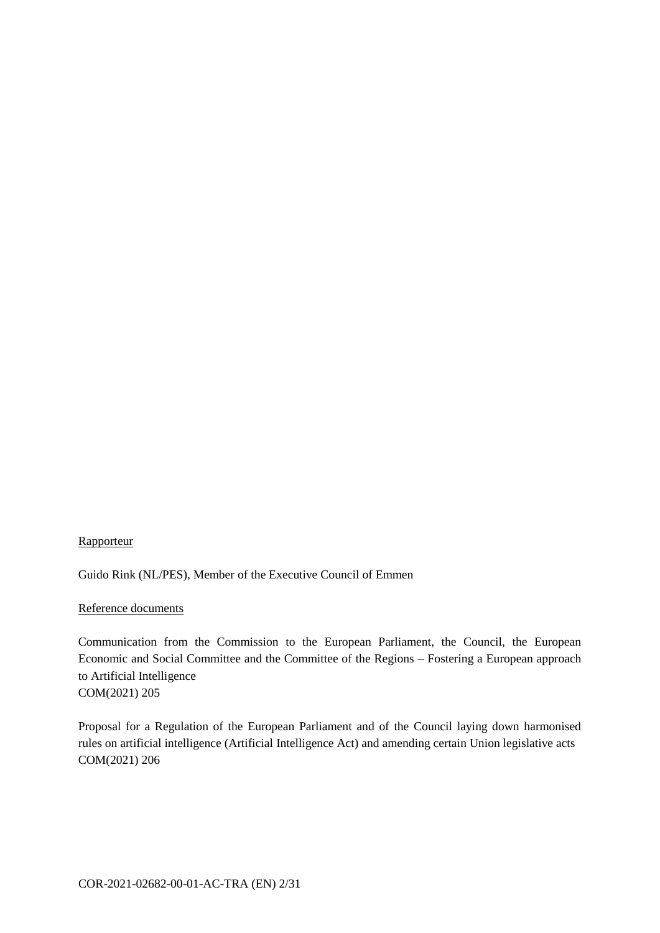### **Rapporteur**

Guido Rink (NL/PES), Member of the Executive Council of Emmen

### Reference documents

Communication from the Commission to the European Parliament, the Council, the European Economic and Social Committee and the Committee of the Regions – Fostering a European approach to Artificial Intelligence COM(2021) 205

Proposal for a Regulation of the European Parliament and of the Council laying down harmonised rules on artificial intelligence (Artificial Intelligence Act) and amending certain Union legislative acts COM(2021) 206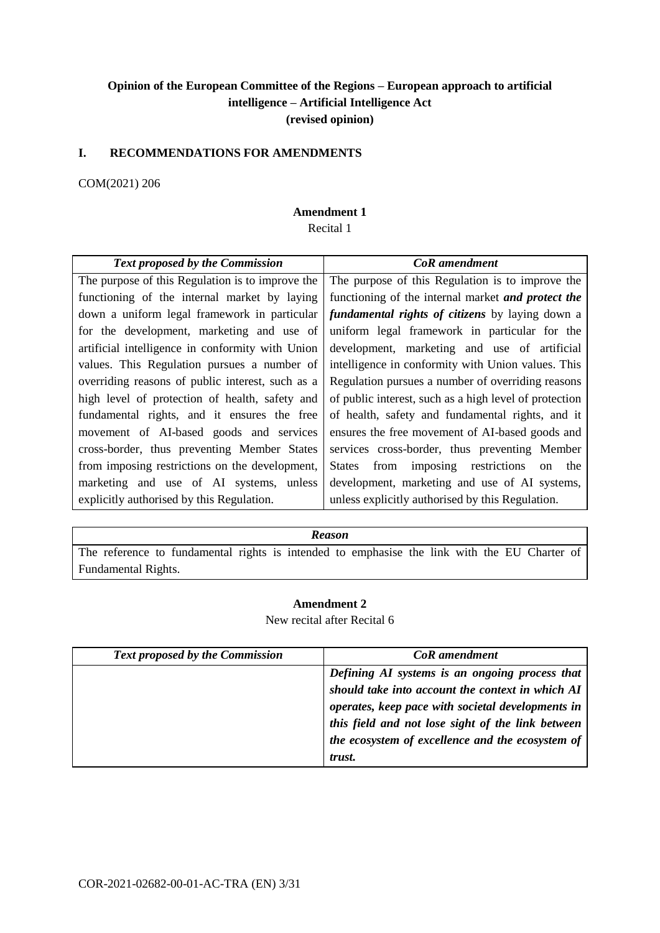## **Opinion of the European Committee of the Regions – European approach to artificial intelligence – Artificial Intelligence Act (revised opinion)**

### **I. RECOMMENDATIONS FOR AMENDMENTS**

### COM(2021) 206

### **Amendment 1**

Recital 1

| <b>Text proposed by the Commission</b>           | <b>CoR</b> amendment                                         |
|--------------------------------------------------|--------------------------------------------------------------|
| The purpose of this Regulation is to improve the | The purpose of this Regulation is to improve the             |
| functioning of the internal market by laying     | functioning of the internal market <i>and protect the</i>    |
| down a uniform legal framework in particular     | <i>fundamental rights of citizens</i> by laying down a       |
| for the development, marketing and use of        | uniform legal framework in particular for the                |
| artificial intelligence in conformity with Union | development, marketing and use of artificial                 |
| values. This Regulation pursues a number of      | intelligence in conformity with Union values. This           |
| overriding reasons of public interest, such as a | Regulation pursues a number of overriding reasons            |
| high level of protection of health, safety and   | of public interest, such as a high level of protection       |
| fundamental rights, and it ensures the free      | of health, safety and fundamental rights, and it             |
| movement of AI-based goods and services          | ensures the free movement of AI-based goods and              |
| cross-border, thus preventing Member States      | services cross-border, thus preventing Member                |
| from imposing restrictions on the development,   | from imposing restrictions<br>States<br>the<br><sub>on</sub> |
| marketing and use of AI systems, unless          | development, marketing and use of AI systems,                |
| explicitly authorised by this Regulation.        | unless explicitly authorised by this Regulation.             |

#### *Reason*

The reference to fundamental rights is intended to emphasise the link with the EU Charter of Fundamental Rights.

### **Amendment 2**

New recital after Recital 6

| <b>Text proposed by the Commission</b> | <b>CoR</b> amendment                              |
|----------------------------------------|---------------------------------------------------|
|                                        | Defining AI systems is an ongoing process that    |
|                                        | should take into account the context in which AI  |
|                                        | operates, keep pace with societal developments in |
|                                        | this field and not lose sight of the link between |
|                                        | the ecosystem of excellence and the ecosystem of  |
|                                        | trust.                                            |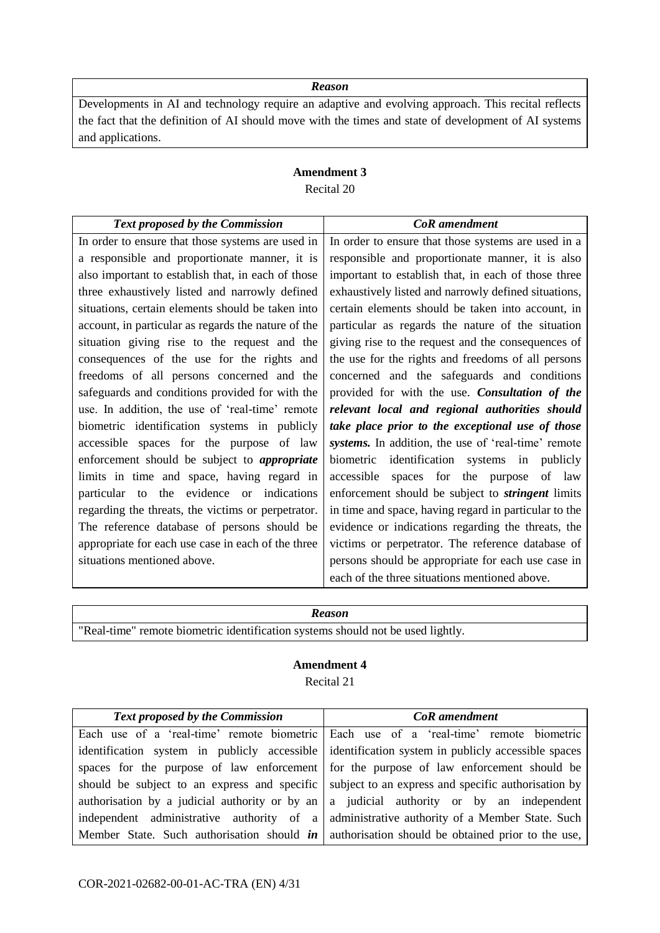Developments in AI and technology require an adaptive and evolving approach. This recital reflects the fact that the definition of AI should move with the times and state of development of AI systems and applications.

## **Amendment 3** Recital 20

| <b>Text proposed by the Commission</b>              | <b>CoR</b> amendment                                     |
|-----------------------------------------------------|----------------------------------------------------------|
| In order to ensure that those systems are used in   | In order to ensure that those systems are used in a      |
| a responsible and proportionate manner, it is       | responsible and proportionate manner, it is also         |
| also important to establish that, in each of those  | important to establish that, in each of those three      |
| three exhaustively listed and narrowly defined      | exhaustively listed and narrowly defined situations,     |
| situations, certain elements should be taken into   | certain elements should be taken into account, in        |
| account, in particular as regards the nature of the | particular as regards the nature of the situation        |
| situation giving rise to the request and the        | giving rise to the request and the consequences of       |
| consequences of the use for the rights and          | the use for the rights and freedoms of all persons       |
| freedoms of all persons concerned and the           | concerned and the safeguards and conditions              |
| safeguards and conditions provided for with the     | provided for with the use. Consultation of the           |
| use. In addition, the use of 'real-time' remote     | relevant local and regional authorities should           |
| biometric identification systems in publicly        | take place prior to the exceptional use of those         |
| accessible spaces for the purpose of law            | systems. In addition, the use of 'real-time' remote      |
| enforcement should be subject to <i>appropriate</i> | biometric identification systems in<br>publicly          |
| limits in time and space, having regard in          | spaces for the purpose<br>accessible<br>of<br>law        |
| particular to the evidence or indications           | enforcement should be subject to <i>stringent</i> limits |
| regarding the threats, the victims or perpetrator.  | in time and space, having regard in particular to the    |
| The reference database of persons should be         | evidence or indications regarding the threats, the       |
| appropriate for each use case in each of the three  | victims or perpetrator. The reference database of        |
| situations mentioned above.                         | persons should be appropriate for each use case in       |
|                                                     | each of the three situations mentioned above.            |

## *Reason*

"Real-time" remote biometric identification systems should not be used lightly.

#### **Amendment 4**

Recital 21

| <b>Text proposed by the Commission</b> | <b>CoR</b> amendment                                                                                     |
|----------------------------------------|----------------------------------------------------------------------------------------------------------|
|                                        | Each use of a 'real-time' remote biometric Each use of a 'real-time' remote biometric                    |
|                                        | identification system in publicly accessible dentification system in publicly accessible spaces          |
|                                        | spaces for the purpose of law enforcement for the purpose of law enforcement should be                   |
|                                        | should be subject to an express and specific subject to an express and specific authorisation by         |
|                                        | authorisation by a judicial authority or by an $ a $ judicial authority or by an independent             |
|                                        | independent administrative authority of a administrative authority of a Member State. Such               |
|                                        | Member State. Such authorisation should $\mathbf{in}$ authorisation should be obtained prior to the use, |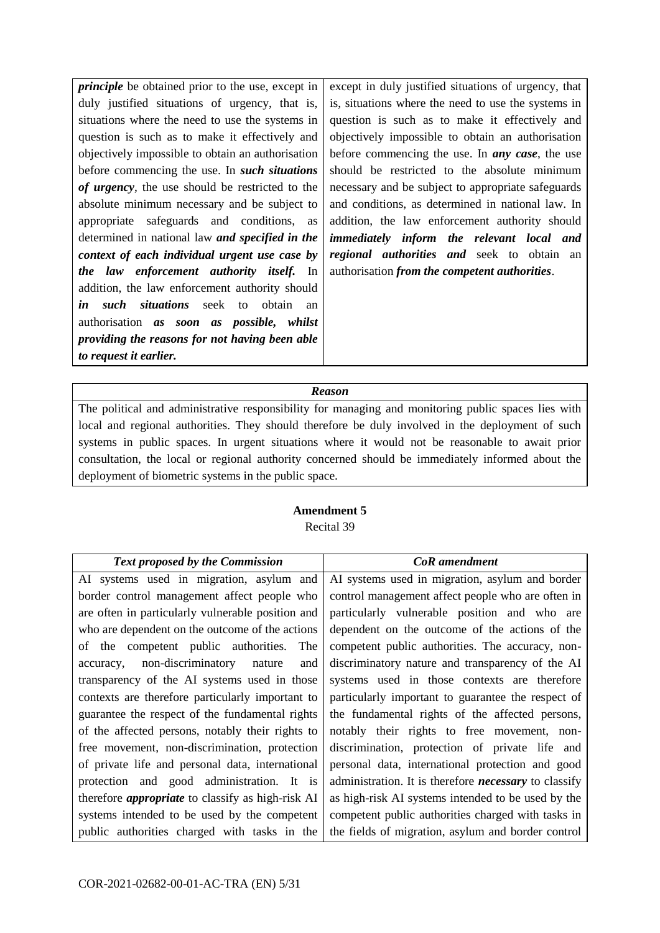*principle* be obtained prior to the use, except in duly justified situations of urgency, that is, situations where the need to use the systems in question is such as to make it effectively and objectively impossible to obtain an authorisation before commencing the use. In *such situations of urgency*, the use should be restricted to the absolute minimum necessary and be subject to appropriate safeguards and conditions, as determined in national law *and specified in the context of each individual urgent use case by the law enforcement authority itself.* In addition, the law enforcement authority should *in such situations* seek to obtain an authorisation *as soon as possible, whilst providing the reasons for not having been able to request it earlier.*

except in duly justified situations of urgency, that is, situations where the need to use the systems in question is such as to make it effectively and objectively impossible to obtain an authorisation before commencing the use. In *any case*, the use should be restricted to the absolute minimum necessary and be subject to appropriate safeguards and conditions, as determined in national law. In addition, the law enforcement authority should *immediately inform the relevant local and regional authorities and* seek to obtain an authorisation *from the competent authorities*.

### *Reason*

The political and administrative responsibility for managing and monitoring public spaces lies with local and regional authorities. They should therefore be duly involved in the deployment of such systems in public spaces. In urgent situations where it would not be reasonable to await prior consultation, the local or regional authority concerned should be immediately informed about the deployment of biometric systems in the public space.

## **Amendment 5**

Recital 39

| <b>Text proposed by the Commission</b>                   | <b>CoR</b> amendment                                         |
|----------------------------------------------------------|--------------------------------------------------------------|
| AI systems used in migration, asylum and                 | AI systems used in migration, asylum and border              |
| border control management affect people who              | control management affect people who are often in            |
| are often in particularly vulnerable position and        | particularly vulnerable position and who are                 |
| who are dependent on the outcome of the actions          | dependent on the outcome of the actions of the               |
| of the competent public authorities.<br>The              | competent public authorities. The accuracy, non-             |
| non-discriminatory nature<br>and<br>accuracy,            | discriminatory nature and transparency of the AI             |
| transparency of the AI systems used in those             | systems used in those contexts are therefore                 |
| contexts are therefore particularly important to         | particularly important to guarantee the respect of           |
| guarantee the respect of the fundamental rights          | the fundamental rights of the affected persons,              |
| of the affected persons, notably their rights to         | notably their rights to free movement, non-                  |
| free movement, non-discrimination, protection            | discrimination, protection of private life and               |
| of private life and personal data, international         | personal data, international protection and good             |
| protection and good administration. It is                | administration. It is therefore <i>necessary</i> to classify |
| therefore <i>appropriate</i> to classify as high-risk AI | as high-risk AI systems intended to be used by the           |
| systems intended to be used by the competent             | competent public authorities charged with tasks in           |
| public authorities charged with tasks in the             | the fields of migration, asylum and border control           |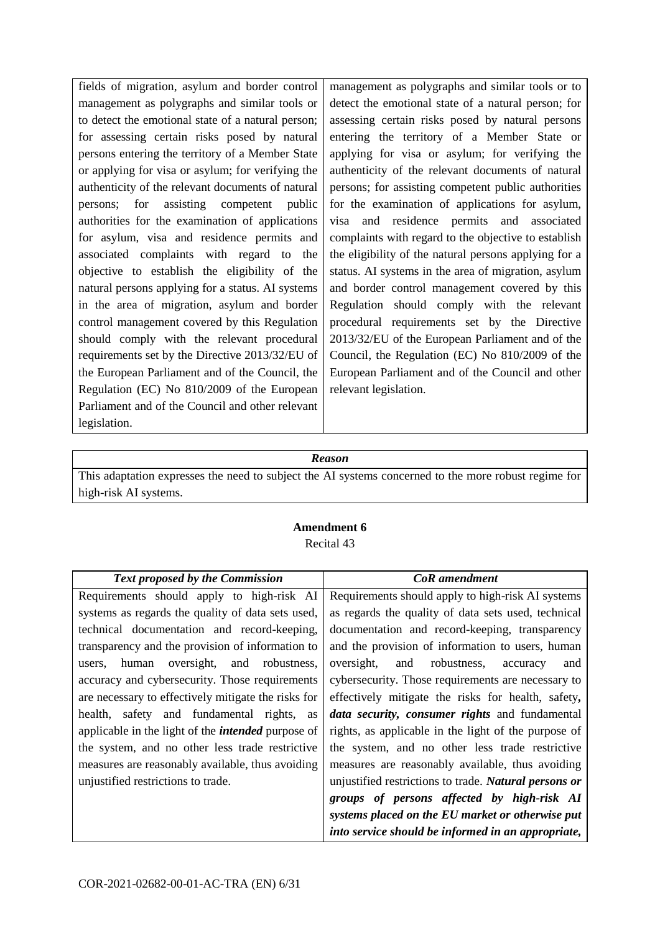fields of migration, asylum and border control management as polygraphs and similar tools or to detect the emotional state of a natural person; for assessing certain risks posed by natural persons entering the territory of a Member State or applying for visa or asylum; for verifying the authenticity of the relevant documents of natural persons; for assisting competent public authorities for the examination of applications for asylum, visa and residence permits and associated complaints with regard to the objective to establish the eligibility of the natural persons applying for a status. AI systems in the area of migration, asylum and border control management covered by this Regulation should comply with the relevant procedural requirements set by the Directive 2013/32/EU of the European Parliament and of the Council, the Regulation (EC) No 810/2009 of the European Parliament and of the Council and other relevant legislation.

management as polygraphs and similar tools or to detect the emotional state of a natural person; for assessing certain risks posed by natural persons entering the territory of a Member State or applying for visa or asylum; for verifying the authenticity of the relevant documents of natural persons; for assisting competent public authorities for the examination of applications for asylum, visa and residence permits and associated complaints with regard to the objective to establish the eligibility of the natural persons applying for a status. AI systems in the area of migration, asylum and border control management covered by this Regulation should comply with the relevant procedural requirements set by the Directive 2013/32/EU of the European Parliament and of the Council, the Regulation (EC) No 810/2009 of the European Parliament and of the Council and other relevant legislation.

### *Reason*

This adaptation expresses the need to subject the AI systems concerned to the more robust regime for high-risk AI systems.

### **Amendment 6** Recital 43

| <b>Text proposed by the Commission</b>                    | <b>CoR</b> amendment                                  |
|-----------------------------------------------------------|-------------------------------------------------------|
| Requirements should apply to high-risk AI                 | Requirements should apply to high-risk AI systems     |
| systems as regards the quality of data sets used,         | as regards the quality of data sets used, technical   |
| technical documentation and record-keeping,               | documentation and record-keeping, transparency        |
| transparency and the provision of information to          | and the provision of information to users, human      |
| oversight, and<br>robustness.<br>human<br>users.          | oversight,<br>robustness,<br>and<br>and<br>accuracy   |
| accuracy and cybersecurity. Those requirements            | cybersecurity. Those requirements are necessary to    |
| are necessary to effectively mitigate the risks for       | effectively mitigate the risks for health, safety,    |
| health, safety and fundamental rights, as                 | data security, consumer rights and fundamental        |
| applicable in the light of the <i>intended</i> purpose of | rights, as applicable in the light of the purpose of  |
| the system, and no other less trade restrictive           | the system, and no other less trade restrictive       |
| measures are reasonably available, thus avoiding          | measures are reasonably available, thus avoiding      |
| unjustified restrictions to trade.                        | unjustified restrictions to trade. Natural persons or |
|                                                           | groups of persons affected by high-risk AI            |
|                                                           | systems placed on the EU market or otherwise put      |
|                                                           | into service should be informed in an appropriate,    |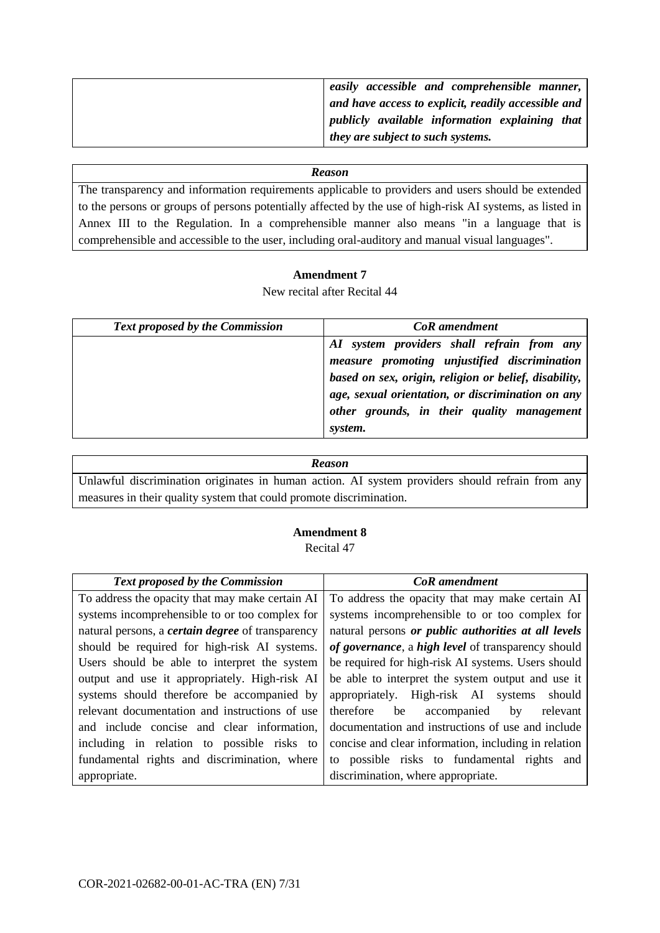| easily accessible and comprehensible manner,                |
|-------------------------------------------------------------|
| and have access to explicit, readily accessible and $\vert$ |
| publicly available information explaining that $\vert$      |
| they are subject to such systems.                           |

The transparency and information requirements applicable to providers and users should be extended to the persons or groups of persons potentially affected by the use of high-risk AI systems, as listed in Annex III to the Regulation. In a comprehensible manner also means "in a language that is comprehensible and accessible to the user, including oral-auditory and manual visual languages".

### **Amendment 7**

New recital after Recital 44

| <b>Text proposed by the Commission</b> | <b>CoR</b> amendment                                                                                                                                                                                                                                              |
|----------------------------------------|-------------------------------------------------------------------------------------------------------------------------------------------------------------------------------------------------------------------------------------------------------------------|
|                                        | AI system providers shall refrain from any<br>measure promoting unjustified discrimination<br>based on sex, origin, religion or belief, disability,<br>age, sexual orientation, or discrimination on any<br>other grounds, in their quality management<br>system. |

| <b>Reason</b>                                                                                   |  |
|-------------------------------------------------------------------------------------------------|--|
| Unlawful discrimination originates in human action. AI system providers should refrain from any |  |
| measures in their quality system that could promote discrimination.                             |  |

## **Amendment 8**

Recital 47

| <b>Text proposed by the Commission</b>                   | CoR amendment                                        |
|----------------------------------------------------------|------------------------------------------------------|
| To address the opacity that may make certain AI          | To address the opacity that may make certain AI      |
| systems incomprehensible to or too complex for           | systems incomprehensible to or too complex for       |
| natural persons, a <i>certain degree</i> of transparency | natural persons or public authorities at all levels  |
| should be required for high-risk AI systems.             | of governance, a high level of transparency should   |
| Users should be able to interpret the system             | be required for high-risk AI systems. Users should   |
| output and use it appropriately. High-risk AI            | be able to interpret the system output and use it    |
| systems should therefore be accompanied by               | appropriately. High-risk AI systems<br>should        |
| relevant documentation and instructions of use           | therefore<br>be<br>accompanied<br>relevant<br>by     |
| and include concise and clear information,               | documentation and instructions of use and include    |
| including in relation to possible risks to               | concise and clear information, including in relation |
| fundamental rights and discrimination, where             | to possible risks to fundamental rights and          |
| appropriate.                                             | discrimination, where appropriate.                   |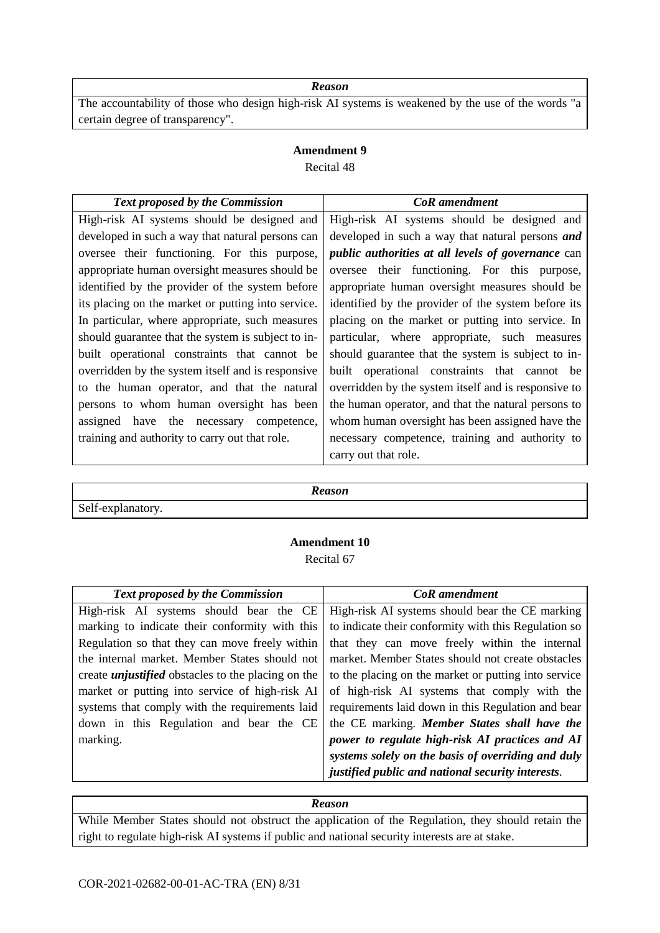The accountability of those who design high-risk AI systems is weakened by the use of the words "a certain degree of transparency".

### **Amendment 9** Recital 48

| <b>Text proposed by the Commission</b>             | <b>CoR</b> amendment                                      |
|----------------------------------------------------|-----------------------------------------------------------|
| High-risk AI systems should be designed and        | High-risk AI systems should be designed and               |
| developed in such a way that natural persons can   | developed in such a way that natural persons and          |
| oversee their functioning. For this purpose,       | <i>public authorities at all levels of governance can</i> |
| appropriate human oversight measures should be     | oversee their functioning. For this purpose,              |
| identified by the provider of the system before    | appropriate human oversight measures should be            |
| its placing on the market or putting into service. | identified by the provider of the system before its       |
| In particular, where appropriate, such measures    | placing on the market or putting into service. In         |
| should guarantee that the system is subject to in- | particular, where appropriate, such measures              |
| built operational constraints that cannot be       | should guarantee that the system is subject to in-        |
| overridden by the system itself and is responsive  | built operational constraints that cannot be              |
| to the human operator, and that the natural        | overridden by the system itself and is responsive to      |
| persons to whom human oversight has been           | the human operator, and that the natural persons to       |
| assigned have the necessary competence,            | whom human oversight has been assigned have the           |
| training and authority to carry out that role.     | necessary competence, training and authority to           |
|                                                    | carry out that role.                                      |

*Reason*

Self-explanatory.

## **Amendment 10** Recital 67

| <b>Text proposed by the Commission</b>                    | CoR amendment                                        |
|-----------------------------------------------------------|------------------------------------------------------|
| High-risk AI systems should bear the CE                   | High-risk AI systems should bear the CE marking      |
| marking to indicate their conformity with this            | to indicate their conformity with this Regulation so |
| Regulation so that they can move freely within            | that they can move freely within the internal        |
| the internal market. Member States should not             | market. Member States should not create obstacles    |
| create <i>unjustified</i> obstacles to the placing on the | to the placing on the market or putting into service |
| market or putting into service of high-risk AI            | of high-risk AI systems that comply with the         |
| systems that comply with the requirements laid            | requirements laid down in this Regulation and bear   |
| down in this Regulation and bear the CE                   | the CE marking. Member States shall have the         |
| marking.                                                  | power to regulate high-risk AI practices and AI      |
|                                                           | systems solely on the basis of overriding and duly   |
|                                                           | justified public and national security interests.    |

#### *Reason*

While Member States should not obstruct the application of the Regulation, they should retain the right to regulate high-risk AI systems if public and national security interests are at stake.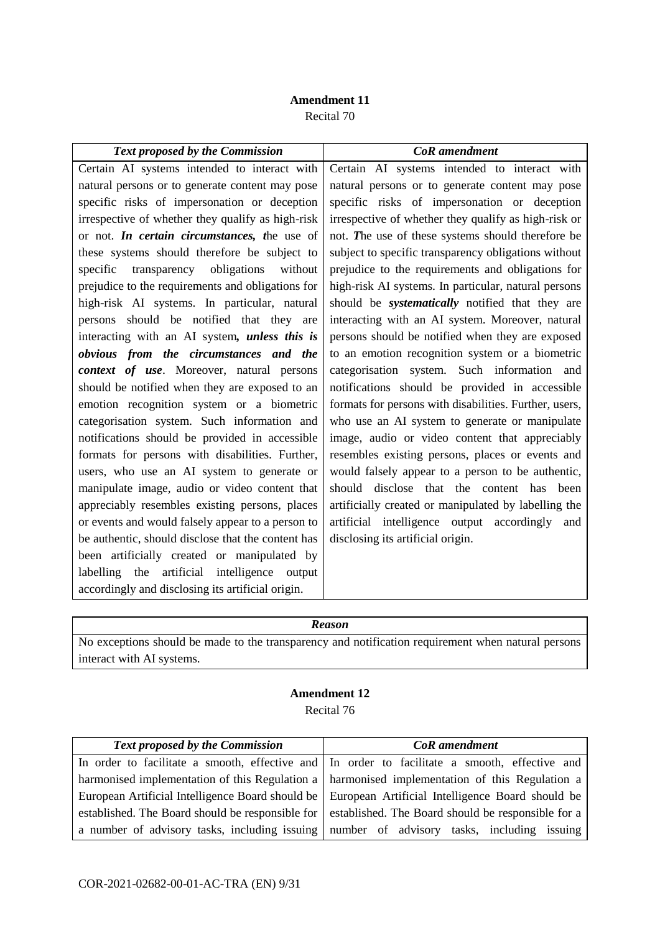## **Amendment 11** Recital 70

| <b>Text proposed by the Commission</b>               | CoR amendment                                          |
|------------------------------------------------------|--------------------------------------------------------|
| Certain AI systems intended to interact with         | Certain AI systems intended to interact with           |
| natural persons or to generate content may pose      | natural persons or to generate content may pose        |
| specific risks of impersonation or deception         | specific risks of impersonation or deception           |
| irrespective of whether they qualify as high-risk    | irrespective of whether they qualify as high-risk or   |
| or not. In certain circumstances, the use of         | not. The use of these systems should therefore be      |
| these systems should therefore be subject to         | subject to specific transparency obligations without   |
| specific transparency obligations<br>without         | prejudice to the requirements and obligations for      |
| prejudice to the requirements and obligations for    | high-risk AI systems. In particular, natural persons   |
| high-risk AI systems. In particular, natural         | should be <i>systematically</i> notified that they are |
| persons should be notified that they are             | interacting with an AI system. Moreover, natural       |
| interacting with an AI system, <i>unless this is</i> | persons should be notified when they are exposed       |
| obvious from the circumstances and the               | to an emotion recognition system or a biometric        |
| context of use. Moreover, natural persons            | categorisation system. Such information and            |
| should be notified when they are exposed to an       | notifications should be provided in accessible         |
| emotion recognition system or a biometric            | formats for persons with disabilities. Further, users, |
| categorisation system. Such information and          | who use an AI system to generate or manipulate         |
| notifications should be provided in accessible       | image, audio or video content that appreciably         |
| formats for persons with disabilities. Further,      | resembles existing persons, places or events and       |
| users, who use an AI system to generate or           | would falsely appear to a person to be authentic,      |
| manipulate image, audio or video content that        | should disclose that the content has<br>been           |
| appreciably resembles existing persons, places       | artificially created or manipulated by labelling the   |
| or events and would falsely appear to a person to    | artificial intelligence output accordingly and         |
| be authentic, should disclose that the content has   | disclosing its artificial origin.                      |
| been artificially created or manipulated by          |                                                        |
| labelling the artificial intelligence output         |                                                        |
| accordingly and disclosing its artificial origin.    |                                                        |

## *Reason*

No exceptions should be made to the transparency and notification requirement when natural persons interact with AI systems.

| <b>Text proposed by the Commission</b> | <b>CoR</b> amendment                                                                                  |
|----------------------------------------|-------------------------------------------------------------------------------------------------------|
|                                        | In order to facilitate a smooth, effective and In order to facilitate a smooth, effective and         |
|                                        | harmonised implementation of this Regulation a   harmonised implementation of this Regulation a       |
|                                        | European Artificial Intelligence Board should be European Artificial Intelligence Board should be     |
|                                        | established. The Board should be responsible for   established. The Board should be responsible for a |
|                                        | a number of advisory tasks, including issuing number of advisory tasks, including issuing             |

## **Amendment 12** Recital 76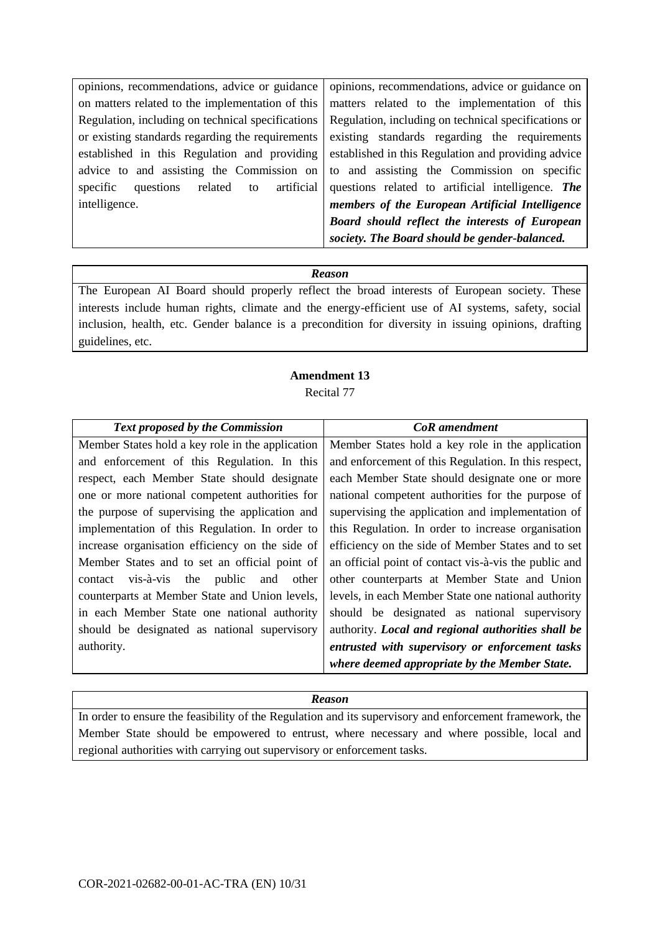opinions, recommendations, advice or guidance on matters related to the implementation of this Regulation, including on technical specifications or existing standards regarding the requirements established in this Regulation and providing advice to and assisting the Commission on specific questions related to artificial intelligence.

opinions, recommendations, advice or guidance on matters related to the implementation of this Regulation, including on technical specifications or existing standards regarding the requirements established in this Regulation and providing advice to and assisting the Commission on specific questions related to artificial intelligence. *The members of the European Artificial Intelligence Board should reflect the interests of European society. The Board should be gender-balanced.*

### *Reason*

The European AI Board should properly reflect the broad interests of European society. These interests include human rights, climate and the energy-efficient use of AI systems, safety, social inclusion, health, etc. Gender balance is a precondition for diversity in issuing opinions, drafting guidelines, etc.

### **Amendment 13** Recital 77

| <b>Text proposed by the Commission</b>           | <b>CoR</b> amendment                                  |
|--------------------------------------------------|-------------------------------------------------------|
| Member States hold a key role in the application | Member States hold a key role in the application      |
| and enforcement of this Regulation. In this      | and enforcement of this Regulation. In this respect,  |
| respect, each Member State should designate      | each Member State should designate one or more        |
| one or more national competent authorities for   | national competent authorities for the purpose of     |
| the purpose of supervising the application and   | supervising the application and implementation of     |
| implementation of this Regulation. In order to   | this Regulation. In order to increase organisation    |
| increase organisation efficiency on the side of  | efficiency on the side of Member States and to set    |
| Member States and to set an official point of    | an official point of contact vis-à-vis the public and |
| contact vis-à-vis the<br>public and other        | other counterparts at Member State and Union          |
| counterparts at Member State and Union levels,   | levels, in each Member State one national authority   |
| in each Member State one national authority      | should be designated as national supervisory          |
| should be designated as national supervisory     | authority. Local and regional authorities shall be    |
| authority.                                       | entrusted with supervisory or enforcement tasks       |
|                                                  | where deemed appropriate by the Member State.         |

## *Reason*

In order to ensure the feasibility of the Regulation and its supervisory and enforcement framework, the Member State should be empowered to entrust, where necessary and where possible, local and regional authorities with carrying out supervisory or enforcement tasks.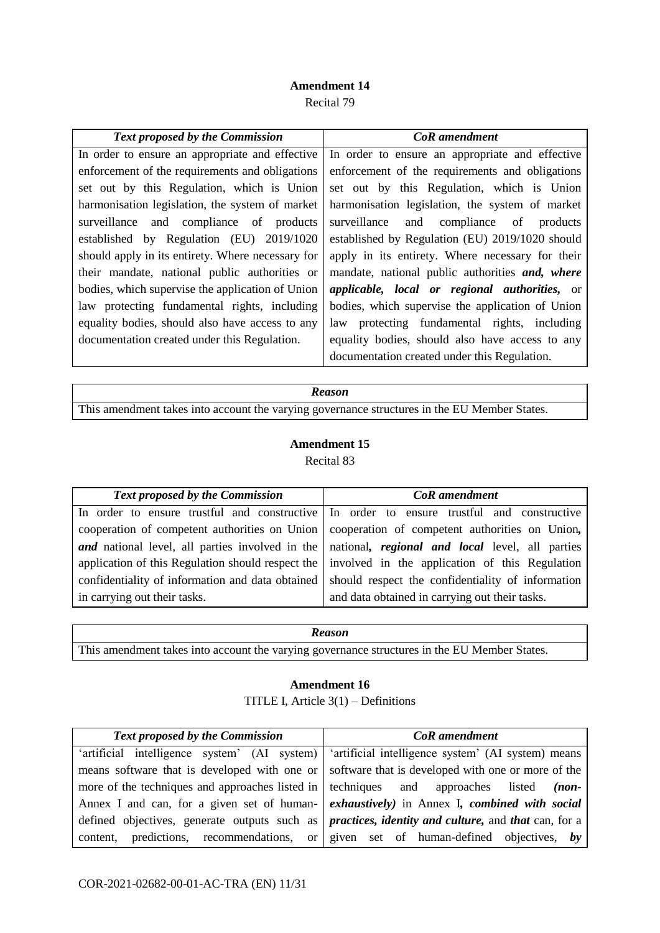## **Amendment 14**

Recital 79

| <b>Text proposed by the Commission</b>            | <b>CoR</b> amendment                                         |
|---------------------------------------------------|--------------------------------------------------------------|
| In order to ensure an appropriate and effective   | In order to ensure an appropriate and effective              |
| enforcement of the requirements and obligations   | enforcement of the requirements and obligations              |
| set out by this Regulation, which is Union        | set out by this Regulation, which is Union                   |
| harmonisation legislation, the system of market   | harmonisation legislation, the system of market              |
| surveillance and compliance of products           | surveillance<br>and compliance of<br>products                |
| established by Regulation (EU) 2019/1020          | established by Regulation (EU) 2019/1020 should              |
| should apply in its entirety. Where necessary for | apply in its entirety. Where necessary for their             |
| their mandate, national public authorities or     | mandate, national public authorities and, where              |
| bodies, which supervise the application of Union  | <i>applicable</i> , <i>local</i> or regional authorities, or |
| law protecting fundamental rights, including      | bodies, which supervise the application of Union             |
| equality bodies, should also have access to any   | protecting fundamental rights, including<br>law              |
| documentation created under this Regulation.      | equality bodies, should also have access to any              |
|                                                   | documentation created under this Regulation.                 |

| <b>Reason</b>                                                                                |  |
|----------------------------------------------------------------------------------------------|--|
| This amendment takes into account the varying governance structures in the EU Member States. |  |

## **Amendment 15**

Recital 83

| <b>Text proposed by the Commission</b>           | <b>CoR</b> amendment                                                                                   |
|--------------------------------------------------|--------------------------------------------------------------------------------------------------------|
|                                                  | In order to ensure trustful and constructive In order to ensure trustful and constructive              |
| cooperation of competent authorities on Union    | cooperation of competent authorities on Union,                                                         |
|                                                  | <b>and</b> national level, all parties involved in the national, regional and local level, all parties |
|                                                  | application of this Regulation should respect the involved in the application of this Regulation       |
| confidentiality of information and data obtained | should respect the confidentiality of information                                                      |
| in carrying out their tasks.                     | and data obtained in carrying out their tasks.                                                         |

### *Reason*

This amendment takes into account the varying governance structures in the EU Member States.

## **Amendment 16**

TITLE I, Article 3(1) – Definitions

| <b>Text proposed by the Commission</b> | <b>CoR</b> amendment                                                                                                     |
|----------------------------------------|--------------------------------------------------------------------------------------------------------------------------|
|                                        | 'artificial intelligence system' (AI system)   'artificial intelligence system' (AI system) means                        |
|                                        | means software that is developed with one or software that is developed with one or more of the                          |
|                                        | more of the techniques and approaches listed in techniques and approaches listed (non-                                   |
|                                        | Annex I and can, for a given set of human- exhaustively) in Annex I, combined with social                                |
|                                        | defined objectives, generate outputs such as <i>practices</i> , <i>identity and culture</i> , and <i>that</i> can, for a |
|                                        | content, predictions, recommendations, or given set of human-defined objectives, by                                      |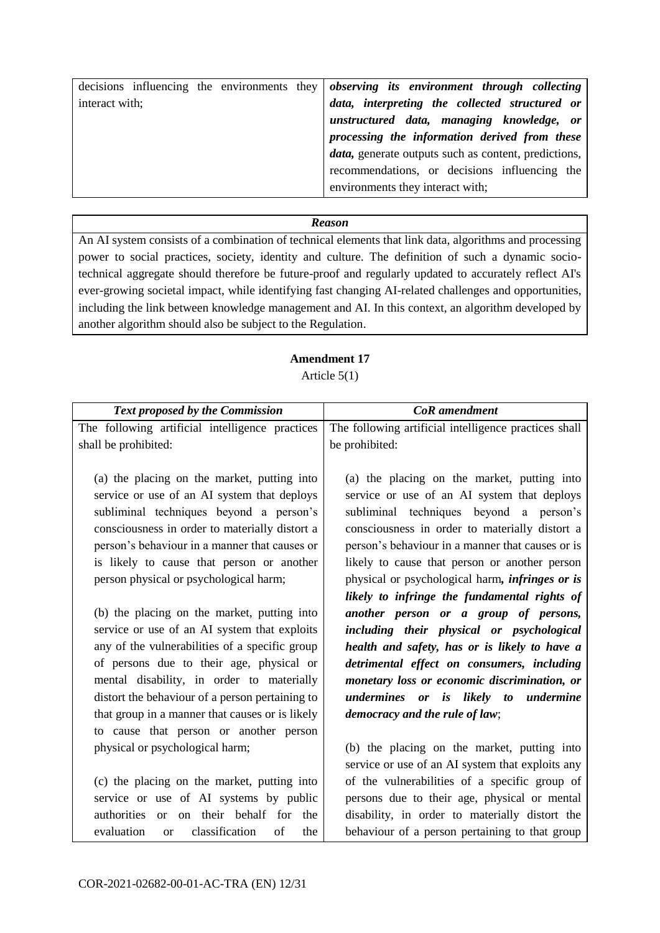|                | decisions influencing the environments they observing its environment through collecting |
|----------------|------------------------------------------------------------------------------------------|
| interact with; | data, interpreting the collected structured or                                           |
|                | unstructured data, managing knowledge, or                                                |
|                | processing the information derived from these                                            |
|                | <i>data</i> , generate outputs such as content, predictions,                             |
|                | recommendations, or decisions influencing the                                            |
|                | environments they interact with;                                                         |

An AI system consists of a combination of technical elements that link data, algorithms and processing power to social practices, society, identity and culture. The definition of such a dynamic sociotechnical aggregate should therefore be future-proof and regularly updated to accurately reflect AI's ever-growing societal impact, while identifying fast changing AI-related challenges and opportunities, including the link between knowledge management and AI. In this context, an algorithm developed by another algorithm should also be subject to the Regulation.

## **Amendment 17**

Article 5(1)

| The following artificial intelligence practices        | The following artificial intelligence practices shall  |
|--------------------------------------------------------|--------------------------------------------------------|
| shall be prohibited:                                   | be prohibited:                                         |
|                                                        |                                                        |
| (a) the placing on the market, putting into            | (a) the placing on the market, putting into            |
| service or use of an AI system that deploys            | service or use of an AI system that deploys            |
| subliminal techniques beyond a person's                | subliminal techniques beyond a person's                |
| consciousness in order to materially distort a         | consciousness in order to materially distort a         |
| person's behaviour in a manner that causes or          | person's behaviour in a manner that causes or is       |
| is likely to cause that person or another              | likely to cause that person or another person          |
| person physical or psychological harm;                 | physical or psychological harm, <i>infringes or is</i> |
|                                                        | likely to infringe the fundamental rights of           |
| (b) the placing on the market, putting into            | another person or a group of persons,                  |
| service or use of an AI system that exploits           | including their physical or psychological              |
| any of the vulnerabilities of a specific group         | health and safety, has or is likely to have a          |
| of persons due to their age, physical or               | detrimental effect on consumers, including             |
| mental disability, in order to materially              | monetary loss or economic discrimination, or           |
| distort the behaviour of a person pertaining to        | undermines or is likely to undermine                   |
| that group in a manner that causes or is likely        | democracy and the rule of law;                         |
| to cause that person or another person                 |                                                        |
| physical or psychological harm;                        | (b) the placing on the market, putting into            |
|                                                        | service or use of an AI system that exploits any       |
| (c) the placing on the market, putting into            | of the vulnerabilities of a specific group of          |
| service or use of AI systems by public                 | persons due to their age, physical or mental           |
| on their behalf for the<br>authorities or              | disability, in order to materially distort the         |
| evaluation<br>classification<br>of<br>the<br><b>or</b> | behaviour of a person pertaining to that group         |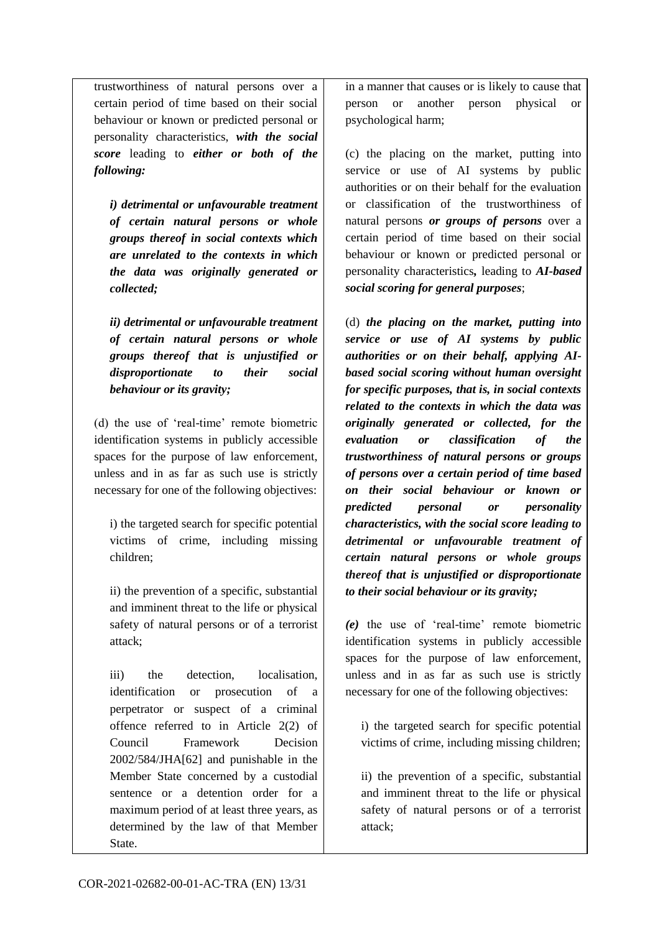trustworthiness of natural persons over a certain period of time based on their social behaviour or known or predicted personal or personality characteristics, *with the social score* leading to *either or both of the following:* 

*i) detrimental or unfavourable treatment of certain natural persons or whole groups thereof in social contexts which are unrelated to the contexts in which the data was originally generated or collected;*

*ii) detrimental or unfavourable treatment of certain natural persons or whole groups thereof that is unjustified or disproportionate to their social behaviour or its gravity;* 

(d) the use of 'real-time' remote biometric identification systems in publicly accessible spaces for the purpose of law enforcement, unless and in as far as such use is strictly necessary for one of the following objectives:

i) the targeted search for specific potential victims of crime, including missing children;

ii) the prevention of a specific, substantial and imminent threat to the life or physical safety of natural persons or of a terrorist attack;

iii) the detection, localisation, identification or prosecution of a perpetrator or suspect of a criminal offence referred to in Article 2(2) of Council Framework Decision 2002/584/JHA[62] and punishable in the Member State concerned by a custodial sentence or a detention order for a maximum period of at least three years, as determined by the law of that Member State.

in a manner that causes or is likely to cause that person or another person physical or psychological harm;

(c) the placing on the market, putting into service or use of AI systems by public authorities or on their behalf for the evaluation or classification of the trustworthiness of natural persons *or groups of persons* over a certain period of time based on their social behaviour or known or predicted personal or personality characteristics*,* leading to *AI-based social scoring for general purposes*;

(d) *the placing on the market, putting into service or use of AI systems by public authorities or on their behalf, applying AIbased social scoring without human oversight for specific purposes, that is, in social contexts related to the contexts in which the data was originally generated or collected, for the evaluation or classification of the trustworthiness of natural persons or groups of persons over a certain period of time based on their social behaviour or known or predicted personal or personality characteristics, with the social score leading to detrimental or unfavourable treatment of certain natural persons or whole groups thereof that is unjustified or disproportionate to their social behaviour or its gravity;*

*(e)* the use of 'real-time' remote biometric identification systems in publicly accessible spaces for the purpose of law enforcement, unless and in as far as such use is strictly necessary for one of the following objectives:

i) the targeted search for specific potential victims of crime, including missing children;

ii) the prevention of a specific, substantial and imminent threat to the life or physical safety of natural persons or of a terrorist attack;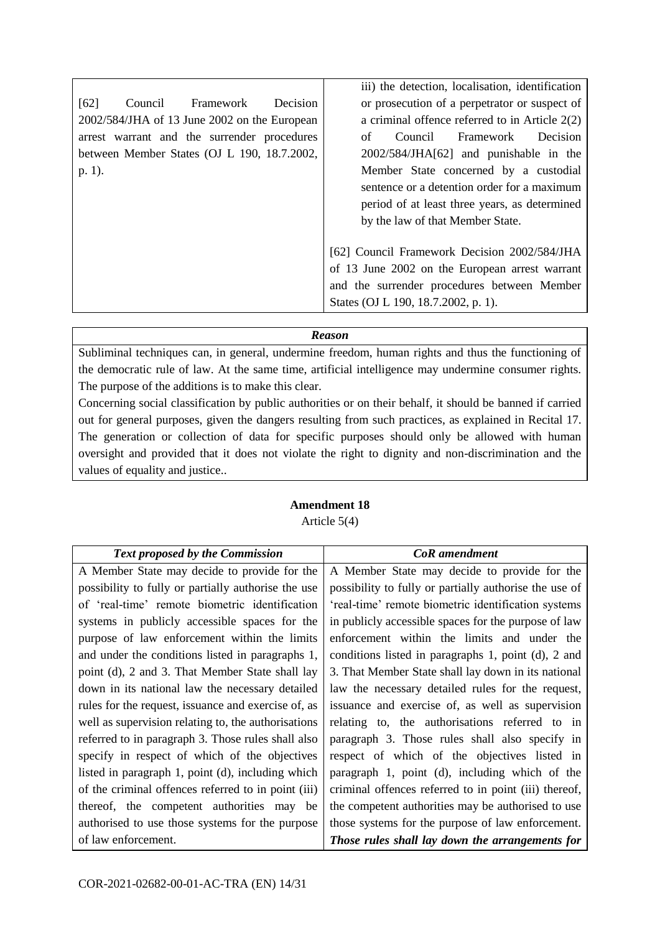|                                                 | iii) the detection, localisation, identification |
|-------------------------------------------------|--------------------------------------------------|
| [62]<br>Framework<br><b>Decision</b><br>Council | or prosecution of a perpetrator or suspect of    |
| 2002/584/JHA of 13 June 2002 on the European    | a criminal offence referred to in Article $2(2)$ |
| arrest warrant and the surrender procedures     | Framework<br>Decision<br>Council<br>of           |
| between Member States (OJ L 190, 18.7.2002,     | 2002/584/JHA[62] and punishable in the           |
| $p. 1$ ).                                       | Member State concerned by a custodial            |
|                                                 | sentence or a detention order for a maximum      |
|                                                 | period of at least three years, as determined    |
|                                                 | by the law of that Member State.                 |
|                                                 |                                                  |
|                                                 | [62] Council Framework Decision 2002/584/JHA     |
|                                                 | of 13 June 2002 on the European arrest warrant   |
|                                                 | and the surrender procedures between Member      |
|                                                 | States (OJ L 190, 18.7.2002, p. 1).              |

Subliminal techniques can, in general, undermine freedom, human rights and thus the functioning of the democratic rule of law. At the same time, artificial intelligence may undermine consumer rights. The purpose of the additions is to make this clear.

Concerning social classification by public authorities or on their behalf, it should be banned if carried out for general purposes, given the dangers resulting from such practices, as explained in Recital 17. The generation or collection of data for specific purposes should only be allowed with human oversight and provided that it does not violate the right to dignity and non-discrimination and the values of equality and justice..

## **Amendment 18** Article 5(4)

| <b>Text proposed by the Commission</b>              | <b>CoR</b> amendment                                   |
|-----------------------------------------------------|--------------------------------------------------------|
| A Member State may decide to provide for the        | A Member State may decide to provide for the           |
| possibility to fully or partially authorise the use | possibility to fully or partially authorise the use of |
| of 'real-time' remote biometric identification      | 'real-time' remote biometric identification systems    |
| systems in publicly accessible spaces for the       | in publicly accessible spaces for the purpose of law   |
| purpose of law enforcement within the limits        | enforcement within the limits and under the            |
| and under the conditions listed in paragraphs 1,    | conditions listed in paragraphs 1, point (d), 2 and    |
| point (d), 2 and 3. That Member State shall lay     | 3. That Member State shall lay down in its national    |
| down in its national law the necessary detailed     | law the necessary detailed rules for the request,      |
| rules for the request, issuance and exercise of, as | issuance and exercise of, as well as supervision       |
| well as supervision relating to, the authorisations | relating to, the authorisations referred to in         |
| referred to in paragraph 3. Those rules shall also  | paragraph 3. Those rules shall also specify in         |
| specify in respect of which of the objectives       | respect of which of the objectives listed in           |
| listed in paragraph 1, point (d), including which   | paragraph 1, point (d), including which of the         |
| of the criminal offences referred to in point (iii) | criminal offences referred to in point (iii) thereof,  |
| thereof, the competent authorities may be           | the competent authorities may be authorised to use     |
| authorised to use those systems for the purpose     | those systems for the purpose of law enforcement.      |
| of law enforcement.                                 | Those rules shall lay down the arrangements for        |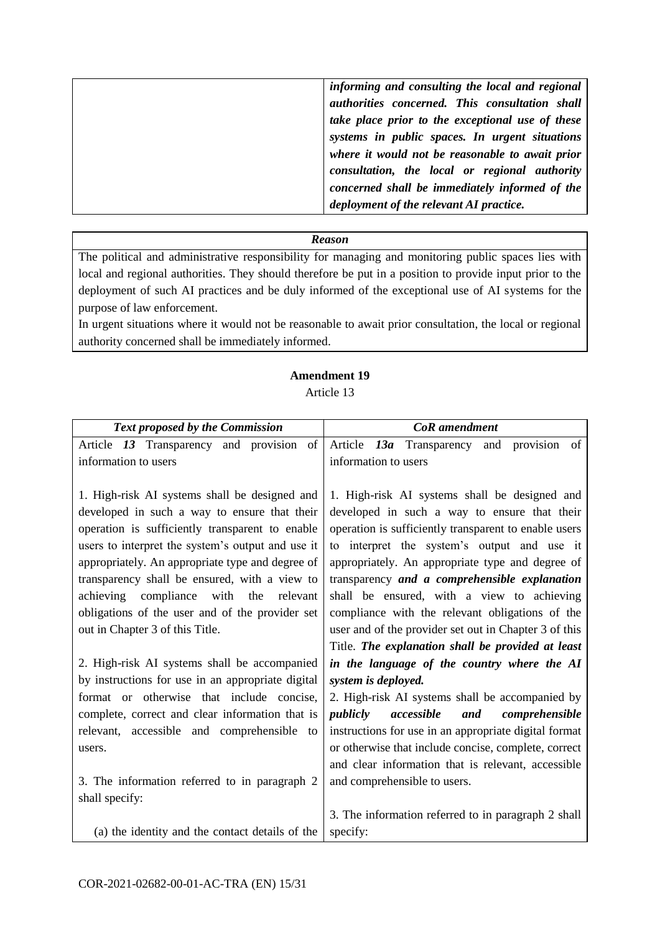| informing and consulting the local and regional  |
|--------------------------------------------------|
| authorities concerned. This consultation shall   |
| take place prior to the exceptional use of these |
| systems in public spaces. In urgent situations   |
| where it would not be reasonable to await prior  |
| consultation, the local or regional authority    |
| concerned shall be immediately informed of the   |
| deployment of the relevant AI practice.          |
|                                                  |

The political and administrative responsibility for managing and monitoring public spaces lies with local and regional authorities. They should therefore be put in a position to provide input prior to the deployment of such AI practices and be duly informed of the exceptional use of AI systems for the purpose of law enforcement.

In urgent situations where it would not be reasonable to await prior consultation, the local or regional authority concerned shall be immediately informed.

### **Amendment 19** Article 13

| Text proposed by the Commission                                                    | <b>CoR</b> amendment                                                                                     |
|------------------------------------------------------------------------------------|----------------------------------------------------------------------------------------------------------|
| Article 13 Transparency and provision<br>of                                        | provision of<br>Article 13a Transparency<br>and                                                          |
| information to users                                                               | information to users                                                                                     |
|                                                                                    |                                                                                                          |
| 1. High-risk AI systems shall be designed and                                      | 1. High-risk AI systems shall be designed and                                                            |
| developed in such a way to ensure that their                                       | developed in such a way to ensure that their                                                             |
| operation is sufficiently transparent to enable                                    | operation is sufficiently transparent to enable users                                                    |
| users to interpret the system's output and use it                                  | to interpret the system's output and use it                                                              |
| appropriately. An appropriate type and degree of                                   | appropriately. An appropriate type and degree of                                                         |
| transparency shall be ensured, with a view to                                      | transparency and a comprehensible explanation                                                            |
| achieving compliance<br>with the<br>relevant                                       | shall be ensured, with a view to achieving                                                               |
| obligations of the user and of the provider set<br>out in Chapter 3 of this Title. | compliance with the relevant obligations of the<br>user and of the provider set out in Chapter 3 of this |
|                                                                                    | Title. The explanation shall be provided at least                                                        |
| 2. High-risk AI systems shall be accompanied                                       | in the language of the country where the AI                                                              |
| by instructions for use in an appropriate digital                                  | system is deployed.                                                                                      |
| format or otherwise that include concise,                                          | 2. High-risk AI systems shall be accompanied by                                                          |
| complete, correct and clear information that is                                    | publicly<br>accessible<br>and<br>comprehensible                                                          |
| relevant, accessible and comprehensible to                                         | instructions for use in an appropriate digital format                                                    |
| users.                                                                             | or otherwise that include concise, complete, correct                                                     |
|                                                                                    | and clear information that is relevant, accessible                                                       |
| 3. The information referred to in paragraph 2                                      | and comprehensible to users.                                                                             |
| shall specify:                                                                     |                                                                                                          |
|                                                                                    | 3. The information referred to in paragraph 2 shall                                                      |
| (a) the identity and the contact details of the                                    | specify:                                                                                                 |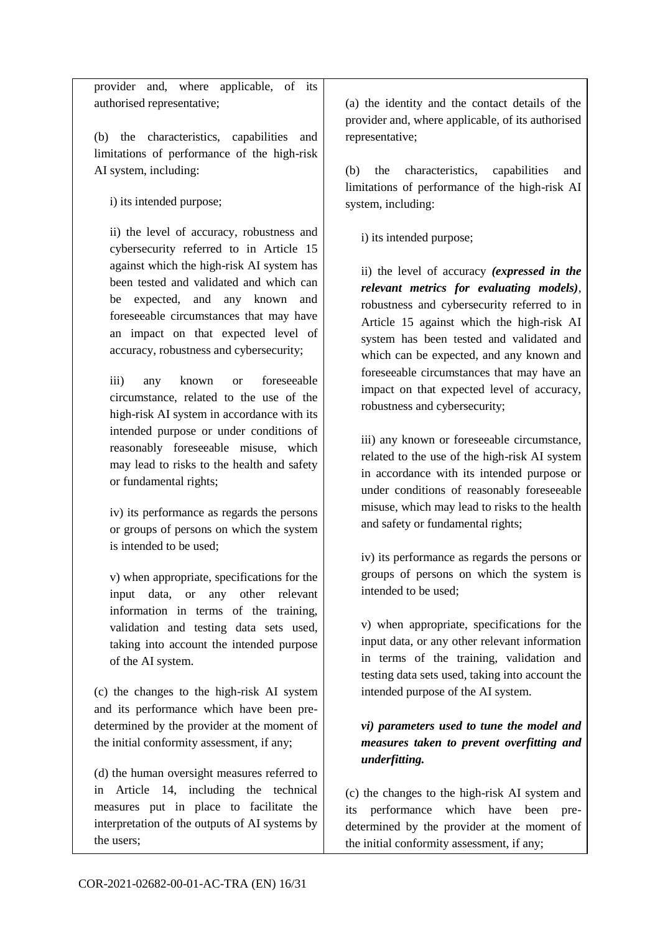provider and, where applicable, of its authorised representative;

(b) the characteristics, capabilities and limitations of performance of the high-risk AI system, including:

i) its intended purpose;

ii) the level of accuracy, robustness and cybersecurity referred to in Article 15 against which the high-risk AI system has been tested and validated and which can be expected, and any known and foreseeable circumstances that may have an impact on that expected level of accuracy, robustness and cybersecurity;

iii) any known or foreseeable circumstance, related to the use of the high-risk AI system in accordance with its intended purpose or under conditions of reasonably foreseeable misuse, which may lead to risks to the health and safety or fundamental rights;

iv) its performance as regards the persons or groups of persons on which the system is intended to be used;

v) when appropriate, specifications for the input data, or any other relevant information in terms of the training, validation and testing data sets used, taking into account the intended purpose of the AI system.

(c) the changes to the high-risk AI system and its performance which have been predetermined by the provider at the moment of the initial conformity assessment, if any;

(d) the human oversight measures referred to in Article 14, including the technical measures put in place to facilitate the interpretation of the outputs of AI systems by the users;

(a) the identity and the contact details of the provider and, where applicable, of its authorised representative;

(b) the characteristics, capabilities and limitations of performance of the high-risk AI system, including:

i) its intended purpose;

ii) the level of accuracy *(expressed in the relevant metrics for evaluating models)*, robustness and cybersecurity referred to in Article 15 against which the high-risk AI system has been tested and validated and which can be expected, and any known and foreseeable circumstances that may have an impact on that expected level of accuracy, robustness and cybersecurity;

iii) any known or foreseeable circumstance, related to the use of the high-risk AI system in accordance with its intended purpose or under conditions of reasonably foreseeable misuse, which may lead to risks to the health and safety or fundamental rights;

iv) its performance as regards the persons or groups of persons on which the system is intended to be used;

v) when appropriate, specifications for the input data, or any other relevant information in terms of the training, validation and testing data sets used, taking into account the intended purpose of the AI system.

## *vi) parameters used to tune the model and measures taken to prevent overfitting and underfitting.*

(c) the changes to the high-risk AI system and its performance which have been predetermined by the provider at the moment of the initial conformity assessment, if any;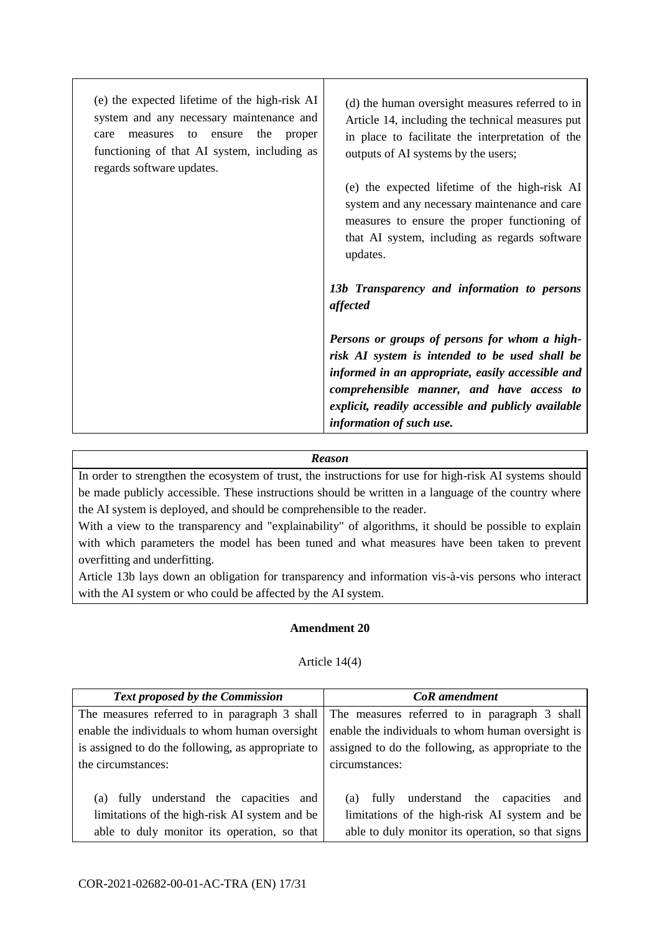| (e) the expected lifetime of the high-risk AI<br>system and any necessary maintenance and<br>the<br>measures<br>to<br>ensure<br>proper<br>care<br>functioning of that AI system, including as<br>regards software updates. | (d) the human oversight measures referred to in<br>Article 14, including the technical measures put<br>in place to facilitate the interpretation of the<br>outputs of AI systems by the users;                                                                                       |
|----------------------------------------------------------------------------------------------------------------------------------------------------------------------------------------------------------------------------|--------------------------------------------------------------------------------------------------------------------------------------------------------------------------------------------------------------------------------------------------------------------------------------|
|                                                                                                                                                                                                                            | (e) the expected lifetime of the high-risk AI<br>system and any necessary maintenance and care<br>measures to ensure the proper functioning of<br>that AI system, including as regards software<br>updates.                                                                          |
|                                                                                                                                                                                                                            | 13b Transparency and information to persons<br>affected                                                                                                                                                                                                                              |
|                                                                                                                                                                                                                            | Persons or groups of persons for whom a high-<br>risk AI system is intended to be used shall be<br>informed in an appropriate, easily accessible and<br>comprehensible manner, and have access to<br>explicit, readily accessible and publicly available<br>information of such use. |

In order to strengthen the ecosystem of trust, the instructions for use for high-risk AI systems should be made publicly accessible. These instructions should be written in a language of the country where the AI system is deployed, and should be comprehensible to the reader.

With a view to the transparency and "explainability" of algorithms, it should be possible to explain with which parameters the model has been tuned and what measures have been taken to prevent overfitting and underfitting.

Article 13b lays down an obligation for transparency and information vis-à-vis persons who interact with the AI system or who could be affected by the AI system.

## **Amendment 20**

### Article 14(4)

| Text proposed by the Commission                    | <b>CoR</b> amendment                                |
|----------------------------------------------------|-----------------------------------------------------|
| The measures referred to in paragraph 3 shall      | The measures referred to in paragraph 3 shall       |
| enable the individuals to whom human oversight     | enable the individuals to whom human oversight is   |
| is assigned to do the following, as appropriate to | assigned to do the following, as appropriate to the |
| the circumstances:                                 | circumstances:                                      |
|                                                    |                                                     |
| (a) fully understand the capacities<br>and         | understand the capacities and<br>fully<br>(a)       |
| limitations of the high-risk AI system and be      | limitations of the high-risk AI system and be       |
| able to duly monitor its operation, so that        | able to duly monitor its operation, so that signs   |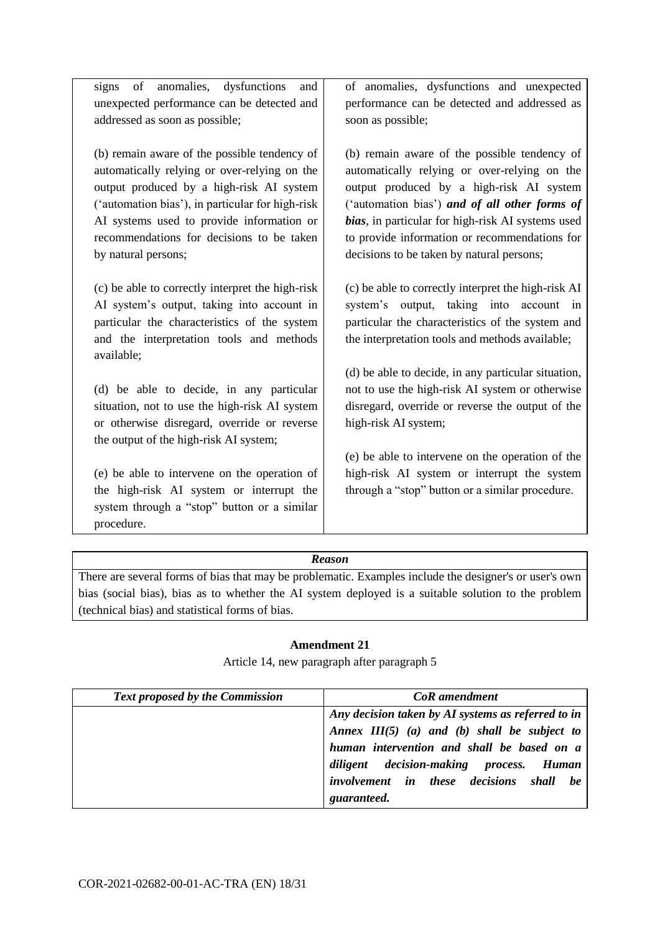signs of anomalies, dysfunctions and unexpected performance can be detected and addressed as soon as possible;

(b) remain aware of the possible tendency of automatically relying or over-relying on the output produced by a high-risk AI system ('automation bias'), in particular for high-risk AI systems used to provide information or recommendations for decisions to be taken by natural persons;

(c) be able to correctly interpret the high-risk AI system's output, taking into account in particular the characteristics of the system and the interpretation tools and methods available;

(d) be able to decide, in any particular situation, not to use the high-risk AI system or otherwise disregard, override or reverse the output of the high-risk AI system;

(e) be able to intervene on the operation of the high-risk AI system or interrupt the system through a "stop" button or a similar procedure.

of anomalies, dysfunctions and unexpected performance can be detected and addressed as soon as possible;

(b) remain aware of the possible tendency of automatically relying or over-relying on the output produced by a high-risk AI system ('automation bias') *and of all other forms of bias*, in particular for high-risk AI systems used to provide information or recommendations for decisions to be taken by natural persons;

(c) be able to correctly interpret the high-risk AI system's output, taking into account in particular the characteristics of the system and the interpretation tools and methods available;

(d) be able to decide, in any particular situation, not to use the high-risk AI system or otherwise disregard, override or reverse the output of the high-risk AI system;

(e) be able to intervene on the operation of the high-risk AI system or interrupt the system through a "stop" button or a similar procedure.

## *Reason*

There are several forms of bias that may be problematic. Examples include the designer's or user's own bias (social bias), bias as to whether the AI system deployed is a suitable solution to the problem (technical bias) and statistical forms of bias.

## **Amendment 21**

Article 14, new paragraph after paragraph 5

| <b>Text proposed by the Commission</b> | <b>CoR</b> amendment                               |
|----------------------------------------|----------------------------------------------------|
|                                        | Any decision taken by AI systems as referred to in |
|                                        | Annex $III(5)$ (a) and (b) shall be subject to     |
|                                        | human intervention and shall be based on a         |
|                                        | diligent decision-making process. Human            |
|                                        | involvement in these decisions shall be            |
|                                        | guaranteed.                                        |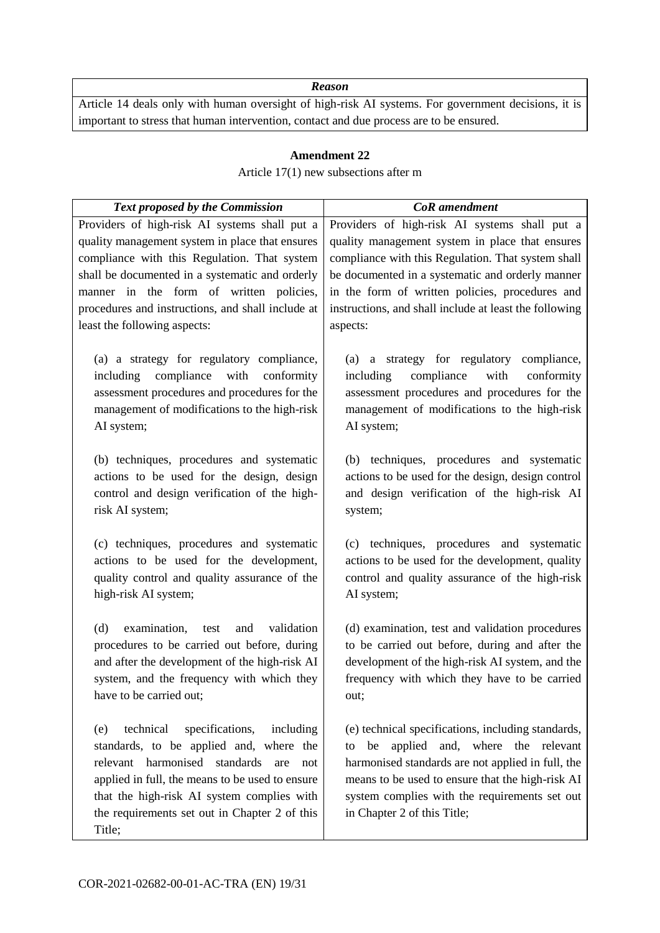Article 14 deals only with human oversight of high-risk AI systems. For government decisions, it is important to stress that human intervention, contact and due process are to be ensured.

### **Amendment 22**

### Article 17(1) new subsections after m

| <b>Text proposed by the Commission</b>                                                                                                                                                                                                                                                                                              | <b>CoR</b> amendment                                                                                                                                                                                                                                                                                                                |
|-------------------------------------------------------------------------------------------------------------------------------------------------------------------------------------------------------------------------------------------------------------------------------------------------------------------------------------|-------------------------------------------------------------------------------------------------------------------------------------------------------------------------------------------------------------------------------------------------------------------------------------------------------------------------------------|
| Providers of high-risk AI systems shall put a<br>quality management system in place that ensures<br>compliance with this Regulation. That system<br>shall be documented in a systematic and orderly<br>manner in the form of written policies,<br>procedures and instructions, and shall include at<br>least the following aspects: | Providers of high-risk AI systems shall put a<br>quality management system in place that ensures<br>compliance with this Regulation. That system shall<br>be documented in a systematic and orderly manner<br>in the form of written policies, procedures and<br>instructions, and shall include at least the following<br>aspects: |
| (a) a strategy for regulatory compliance,<br>compliance with<br>conformity<br>including<br>assessment procedures and procedures for the<br>management of modifications to the high-risk<br>AI system;                                                                                                                               | (a) a strategy for regulatory compliance,<br>including<br>compliance<br>with<br>conformity<br>assessment procedures and procedures for the<br>management of modifications to the high-risk<br>AI system;                                                                                                                            |
| (b) techniques, procedures and systematic<br>actions to be used for the design, design<br>control and design verification of the high-<br>risk AI system;                                                                                                                                                                           | (b) techniques, procedures and systematic<br>actions to be used for the design, design control<br>and design verification of the high-risk AI<br>system;                                                                                                                                                                            |
| (c) techniques, procedures and systematic<br>actions to be used for the development,<br>quality control and quality assurance of the<br>high-risk AI system;                                                                                                                                                                        | (c) techniques, procedures and systematic<br>actions to be used for the development, quality<br>control and quality assurance of the high-risk<br>AI system;                                                                                                                                                                        |
| examination,<br>(d)<br>validation<br>test<br>and<br>procedures to be carried out before, during<br>and after the development of the high-risk AI<br>system, and the frequency with which they<br>have to be carried out;                                                                                                            | (d) examination, test and validation procedures<br>to be carried out before, during and after the<br>development of the high-risk AI system, and the<br>frequency with which they have to be carried<br>out;                                                                                                                        |
| technical<br>specifications,<br>including<br>(e)<br>standards, to be applied and, where the<br>relevant harmonised<br>standards<br>are<br>not<br>applied in full, the means to be used to ensure<br>that the high-risk AI system complies with<br>the requirements set out in Chapter 2 of this<br>Title;                           | (e) technical specifications, including standards,<br>applied and, where the relevant<br>be<br>to<br>harmonised standards are not applied in full, the<br>means to be used to ensure that the high-risk AI<br>system complies with the requirements set out<br>in Chapter 2 of this Title;                                          |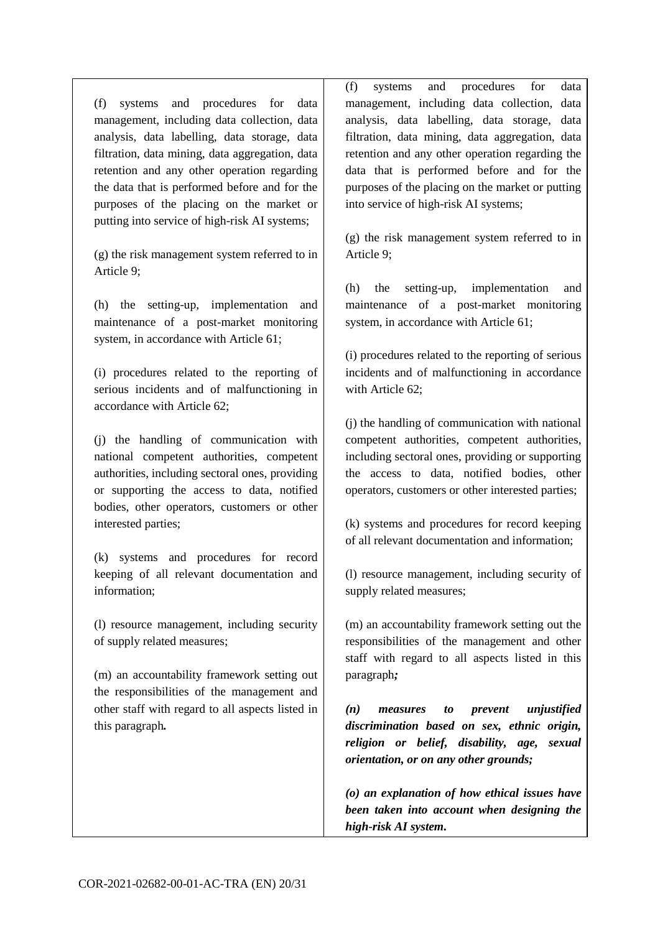(f) systems and procedures for data management, including data collection, data analysis, data labelling, data storage, data filtration, data mining, data aggregation, data retention and any other operation regarding the data that is performed before and for the purposes of the placing on the market or putting into service of high-risk AI systems;

(g) the risk management system referred to in Article 9;

(h) the setting-up, implementation and maintenance of a post-market monitoring system, in accordance with Article 61;

(i) procedures related to the reporting of serious incidents and of malfunctioning in accordance with Article 62;

(j) the handling of communication with national competent authorities, competent authorities, including sectoral ones, providing or supporting the access to data, notified bodies, other operators, customers or other interested parties;

(k) systems and procedures for record keeping of all relevant documentation and information;

(l) resource management, including security of supply related measures;

(m) an accountability framework setting out the responsibilities of the management and other staff with regard to all aspects listed in this paragraph*.*

(f) systems and procedures for data management, including data collection, data analysis, data labelling, data storage, data filtration, data mining, data aggregation, data retention and any other operation regarding the data that is performed before and for the purposes of the placing on the market or putting into service of high-risk AI systems;

(g) the risk management system referred to in Article 9;

(h) the setting-up, implementation and maintenance of a post-market monitoring system, in accordance with Article 61;

(i) procedures related to the reporting of serious incidents and of malfunctioning in accordance with Article 62:

(j) the handling of communication with national competent authorities, competent authorities, including sectoral ones, providing or supporting the access to data, notified bodies, other operators, customers or other interested parties;

(k) systems and procedures for record keeping of all relevant documentation and information;

(l) resource management, including security of supply related measures;

(m) an accountability framework setting out the responsibilities of the management and other staff with regard to all aspects listed in this paragraph*;*

*(n) measures to prevent unjustified discrimination based on sex, ethnic origin, religion or belief, disability, age, sexual orientation, or on any other grounds;*

*(o) an explanation of how ethical issues have been taken into account when designing the high-risk AI system.*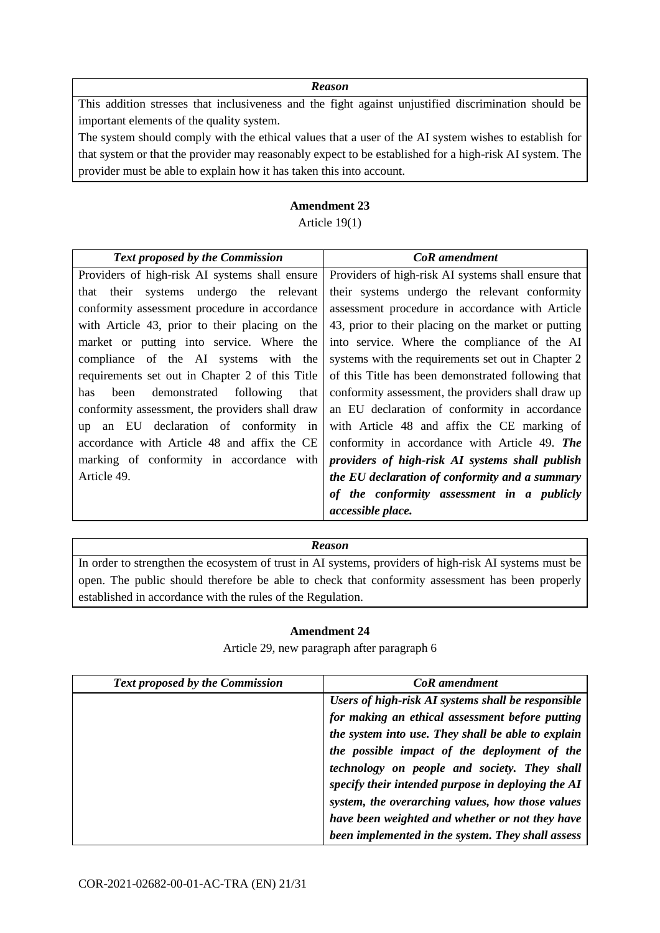This addition stresses that inclusiveness and the fight against unjustified discrimination should be important elements of the quality system.

The system should comply with the ethical values that a user of the AI system wishes to establish for that system or that the provider may reasonably expect to be established for a high-risk AI system. The provider must be able to explain how it has taken this into account.

### **Amendment 23**

## Article 19(1)

| <b>Text proposed by the Commission</b>          | <b>CoR</b> amendment                                |
|-------------------------------------------------|-----------------------------------------------------|
| Providers of high-risk AI systems shall ensure  | Providers of high-risk AI systems shall ensure that |
| that their systems undergo the relevant         | their systems undergo the relevant conformity       |
| conformity assessment procedure in accordance   | assessment procedure in accordance with Article     |
| with Article 43, prior to their placing on the  | 43, prior to their placing on the market or putting |
| market or putting into service. Where the       | into service. Where the compliance of the AI        |
| compliance of the AI systems with the           | systems with the requirements set out in Chapter 2  |
| requirements set out in Chapter 2 of this Title | of this Title has been demonstrated following that  |
| demonstrated following<br>been<br>that<br>has   | conformity assessment, the providers shall draw up  |
| conformity assessment, the providers shall draw | an EU declaration of conformity in accordance       |
| up an EU declaration of conformity in           | with Article 48 and affix the CE marking of         |
| accordance with Article 48 and affix the CE     | conformity in accordance with Article 49. The       |
| marking of conformity in accordance with        | providers of high-risk AI systems shall publish     |
| Article 49.                                     | the EU declaration of conformity and a summary      |
|                                                 | of the conformity assessment in a publicly          |
|                                                 | accessible place.                                   |

### *Reason*

In order to strengthen the ecosystem of trust in AI systems, providers of high-risk AI systems must be open. The public should therefore be able to check that conformity assessment has been properly established in accordance with the rules of the Regulation.

### **Amendment 24**

Article 29, new paragraph after paragraph 6

| <b>Text proposed by the Commission</b> | <b>CoR</b> amendment                               |
|----------------------------------------|----------------------------------------------------|
|                                        | Users of high-risk AI systems shall be responsible |
|                                        | for making an ethical assessment before putting    |
|                                        | the system into use. They shall be able to explain |
|                                        | the possible impact of the deployment of the       |
|                                        | technology on people and society. They shall       |
|                                        | specify their intended purpose in deploying the AI |
|                                        | system, the overarching values, how those values   |
|                                        | have been weighted and whether or not they have    |
|                                        | been implemented in the system. They shall assess  |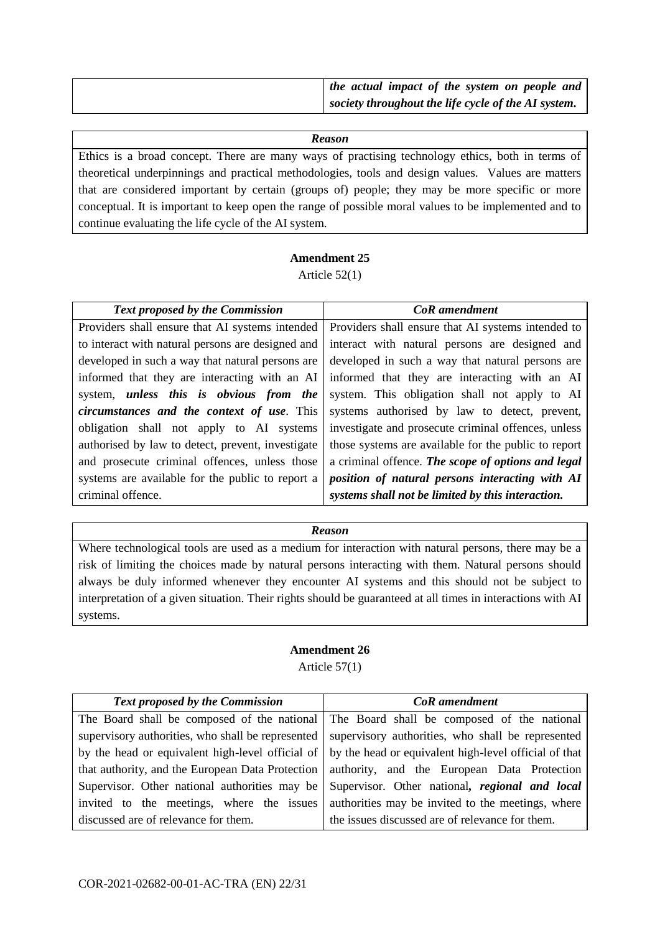| the actual impact of the system on people and       |
|-----------------------------------------------------|
| society throughout the life cycle of the AI system. |

Ethics is a broad concept. There are many ways of practising technology ethics, both in terms of theoretical underpinnings and practical methodologies, tools and design values. Values are matters that are considered important by certain (groups of) people; they may be more specific or more conceptual. It is important to keep open the range of possible moral values to be implemented and to continue evaluating the life cycle of the AI system.

## **Amendment 25**

Article 52(1)

| <b>Text proposed by the Commission</b>                | <b>CoR</b> amendment                                 |
|-------------------------------------------------------|------------------------------------------------------|
| Providers shall ensure that AI systems intended       | Providers shall ensure that AI systems intended to   |
| to interact with natural persons are designed and     | interact with natural persons are designed and       |
| developed in such a way that natural persons are      | developed in such a way that natural persons are     |
| informed that they are interacting with an AI         | informed that they are interacting with an AI        |
| system, <i>unless</i> this is <i>obvious</i> from the | system. This obligation shall not apply to AI        |
| <i>circumstances and the context of use.</i> This     | systems authorised by law to detect, prevent,        |
| obligation shall not apply to AI systems              | investigate and prosecute criminal offences, unless  |
| authorised by law to detect, prevent, investigate     | those systems are available for the public to report |
| and prosecute criminal offences, unless those         | a criminal offence. The scope of options and legal   |
| systems are available for the public to report a      | position of natural persons interacting with AI      |
| criminal offence.                                     | systems shall not be limited by this interaction.    |

### *Reason*

Where technological tools are used as a medium for interaction with natural persons, there may be a risk of limiting the choices made by natural persons interacting with them. Natural persons should always be duly informed whenever they encounter AI systems and this should not be subject to interpretation of a given situation. Their rights should be guaranteed at all times in interactions with AI systems.

## **Amendment 26** Article 57(1)

| <b>Text proposed by the Commission</b> | <b>CoR</b> amendment                                                                                           |
|----------------------------------------|----------------------------------------------------------------------------------------------------------------|
|                                        | The Board shall be composed of the national The Board shall be composed of the national                        |
|                                        | supervisory authorities, who shall be represented supervisory authorities, who shall be represented            |
|                                        | by the head or equivalent high-level official of $\vert$ by the head or equivalent high-level official of that |
|                                        | that authority, and the European Data Protection   authority, and the European Data Protection                 |
|                                        | Supervisor. Other national authorities may be Supervisor. Other national, regional and local                   |
|                                        | invited to the meetings, where the issues authorities may be invited to the meetings, where                    |
| discussed are of relevance for them.   | the issues discussed are of relevance for them.                                                                |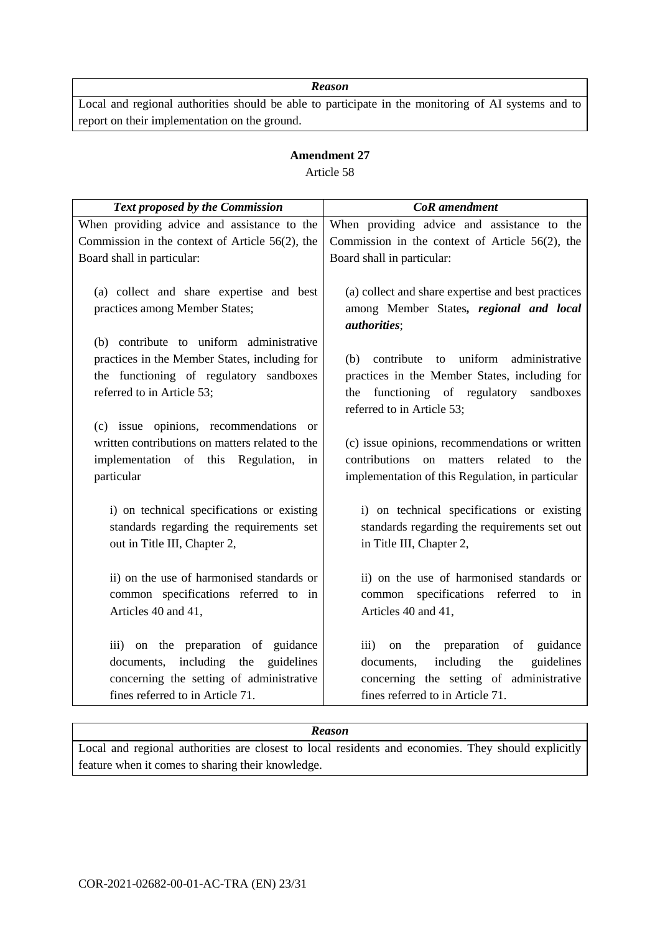Local and regional authorities should be able to participate in the monitoring of AI systems and to report on their implementation on the ground.

## **Amendment 27** Article 58

| Text proposed by the Commission                                                                                                                                    | <b>CoR</b> amendment                                                                                                                                                                                      |
|--------------------------------------------------------------------------------------------------------------------------------------------------------------------|-----------------------------------------------------------------------------------------------------------------------------------------------------------------------------------------------------------|
| When providing advice and assistance to the                                                                                                                        | When providing advice and assistance to the                                                                                                                                                               |
| Commission in the context of Article $56(2)$ , the                                                                                                                 | Commission in the context of Article $56(2)$ , the                                                                                                                                                        |
| Board shall in particular:                                                                                                                                         | Board shall in particular:                                                                                                                                                                                |
| (a) collect and share expertise and best<br>practices among Member States;                                                                                         | (a) collect and share expertise and best practices<br>among Member States, regional and local<br><i>authorities</i> ;                                                                                     |
| (b) contribute to uniform administrative<br>practices in the Member States, including for<br>the functioning of regulatory sandboxes<br>referred to in Article 53; | to uniform<br>administrative<br>(b) contribute<br>practices in the Member States, including for<br>the functioning of regulatory<br>sandboxes<br>referred to in Article 53;                               |
| (c) issue opinions, recommendations or<br>written contributions on matters related to the<br>implementation of this Regulation,<br>in<br>particular                | (c) issue opinions, recommendations or written<br>contributions<br>related<br>matters<br>the<br>on<br>to<br>implementation of this Regulation, in particular                                              |
| i) on technical specifications or existing<br>standards regarding the requirements set<br>out in Title III, Chapter 2,                                             | i) on technical specifications or existing<br>standards regarding the requirements set out<br>in Title III, Chapter 2,                                                                                    |
| ii) on the use of harmonised standards or<br>common specifications referred to in<br>Articles 40 and 41,                                                           | ii) on the use of harmonised standards or<br>specifications referred to<br>common<br>in<br>Articles 40 and 41,                                                                                            |
| iii) on the preparation of guidance<br>documents, including the<br>guidelines<br>concerning the setting of administrative<br>fines referred to in Article 71.      | guidance<br>$\overline{111}$<br>preparation<br>the<br>of<br><sub>on</sub><br>including<br>guidelines<br>the<br>documents,<br>concerning the setting of administrative<br>fines referred to in Article 71. |

### *Reason*

Local and regional authorities are closest to local residents and economies. They should explicitly feature when it comes to sharing their knowledge.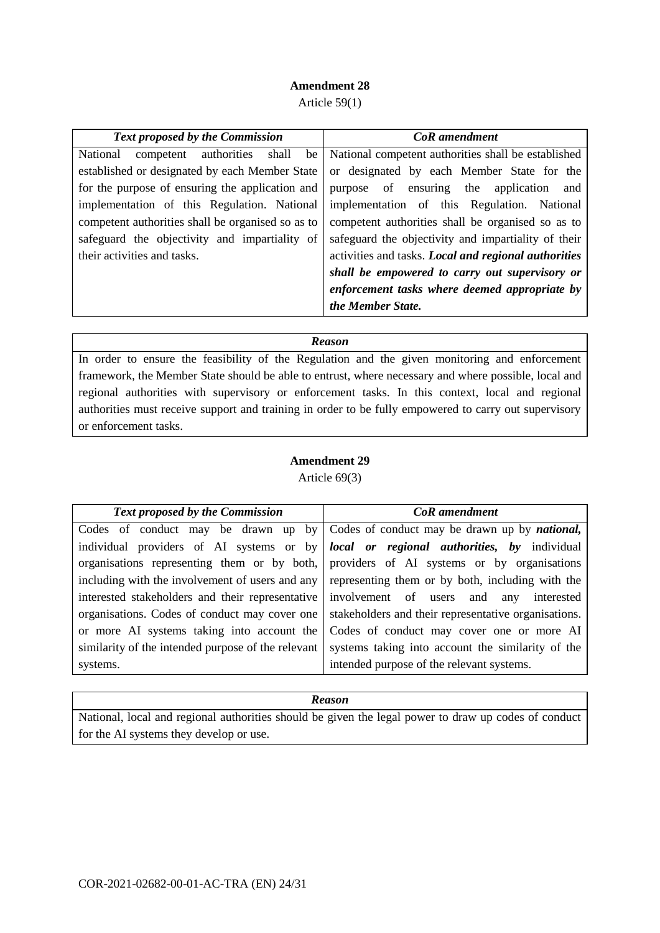## **Amendment 28**

Article 59(1)

| <b>Text proposed by the Commission</b>                     | <b>CoR</b> amendment                                 |
|------------------------------------------------------------|------------------------------------------------------|
| shall<br><b>National</b><br>authorities<br>be<br>competent | National competent authorities shall be established  |
| established or designated by each Member State             | or designated by each Member State for the           |
| for the purpose of ensuring the application and            | purpose of ensuring the application<br>and           |
| implementation of this Regulation. National                | implementation of this Regulation. National          |
| competent authorities shall be organised so as to          | competent authorities shall be organised so as to    |
| safeguard the objectivity and impartiality of              | safeguard the objectivity and impartiality of their  |
| their activities and tasks.                                | activities and tasks. Local and regional authorities |
|                                                            | shall be empowered to carry out supervisory or       |
|                                                            | enforcement tasks where deemed appropriate by        |
|                                                            | the Member State.                                    |

### *Reason*

In order to ensure the feasibility of the Regulation and the given monitoring and enforcement framework, the Member State should be able to entrust, where necessary and where possible, local and regional authorities with supervisory or enforcement tasks. In this context, local and regional authorities must receive support and training in order to be fully empowered to carry out supervisory or enforcement tasks.

## **Amendment 29**

Article 69(3)

| <b>Text proposed by the Commission</b>             | <b>CoR</b> amendment                                                                          |
|----------------------------------------------------|-----------------------------------------------------------------------------------------------|
|                                                    | Codes of conduct may be drawn up by Codes of conduct may be drawn up by <i>national</i> ,     |
|                                                    | individual providers of AI systems or by <b>local or regional authorities</b> , by individual |
|                                                    | organisations representing them or by both, providers of AI systems or by organisations       |
| including with the involvement of users and any    | representing them or by both, including with the                                              |
| interested stakeholders and their representative   | involvement of users and<br>any interested                                                    |
| organisations. Codes of conduct may cover one      | stakeholders and their representative organisations.                                          |
| or more AI systems taking into account the         | Codes of conduct may cover one or more AI                                                     |
| similarity of the intended purpose of the relevant | systems taking into account the similarity of the                                             |
| systems.                                           | intended purpose of the relevant systems.                                                     |

## *Reason*

National, local and regional authorities should be given the legal power to draw up codes of conduct for the AI systems they develop or use.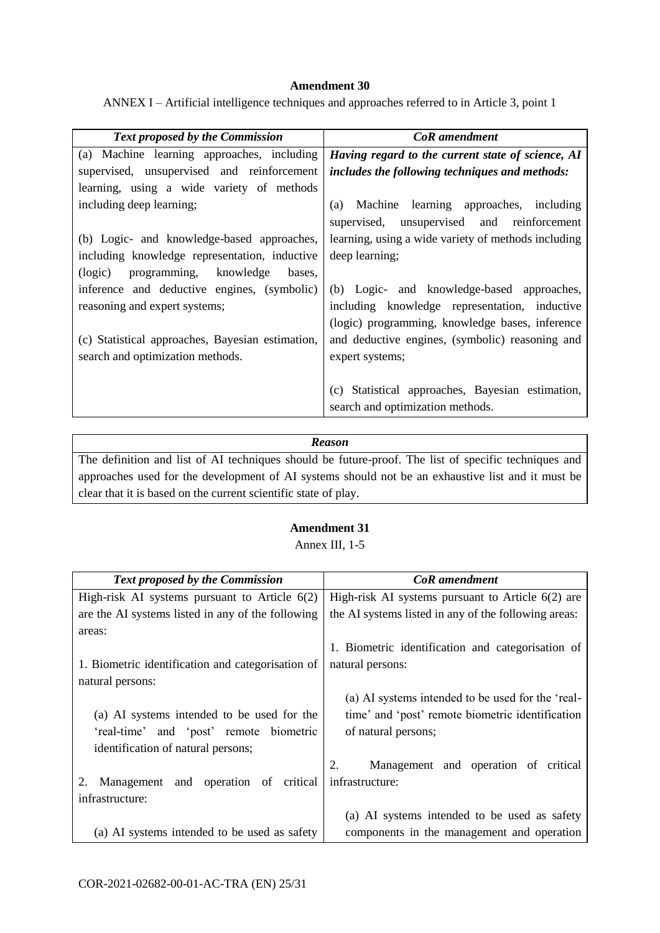### **Amendment 30**

ANNEX I – Artificial intelligence techniques and approaches referred to in Article 3, point 1

| <b>Text proposed by the Commission</b>           | <b>CoR</b> amendment                                |
|--------------------------------------------------|-----------------------------------------------------|
| (a) Machine learning approaches, including       | Having regard to the current state of science, AI   |
| supervised, unsupervised and reinforcement       | includes the following techniques and methods:      |
| learning, using a wide variety of methods        |                                                     |
| including deep learning;                         | Machine learning approaches, including<br>(a)       |
|                                                  | supervised, unsupervised and reinforcement          |
| (b) Logic- and knowledge-based approaches,       | learning, using a wide variety of methods including |
| including knowledge representation, inductive    | deep learning;                                      |
| programming, knowledge<br>(logic)<br>bases,      |                                                     |
| inference and deductive engines, (symbolic)      | (b) Logic- and knowledge-based approaches,          |
| reasoning and expert systems;                    | including knowledge representation, inductive       |
|                                                  | (logic) programming, knowledge bases, inference     |
| (c) Statistical approaches, Bayesian estimation, | and deductive engines, (symbolic) reasoning and     |
| search and optimization methods.                 | expert systems;                                     |
|                                                  |                                                     |
|                                                  | Statistical approaches, Bayesian estimation,<br>(c) |
|                                                  | search and optimization methods.                    |

#### *Reason*

The definition and list of AI techniques should be future-proof. The list of specific techniques and approaches used for the development of AI systems should not be an exhaustive list and it must be clear that it is based on the current scientific state of play.

## **Amendment 31** Annex III, 1-5

| <b>Text proposed by the Commission</b>            | <b>CoR</b> amendment                                 |
|---------------------------------------------------|------------------------------------------------------|
| High-risk AI systems pursuant to Article $6(2)$   | High-risk AI systems pursuant to Article $6(2)$ are  |
| are the AI systems listed in any of the following | the AI systems listed in any of the following areas: |
| areas:                                            |                                                      |
|                                                   | 1. Biometric identification and categorisation of    |
| 1. Biometric identification and categorisation of | natural persons:                                     |
| natural persons:                                  |                                                      |
|                                                   | (a) AI systems intended to be used for the 'real-    |
| (a) AI systems intended to be used for the        | time' and 'post' remote biometric identification     |
| 'real-time' and 'post' remote biometric           | of natural persons;                                  |
| identification of natural persons;                |                                                      |
|                                                   | Management and operation of critical<br>2.           |
| Management and operation of critical<br>2.        | infrastructure:                                      |
| infrastructure:                                   |                                                      |
|                                                   | (a) AI systems intended to be used as safety         |
| (a) AI systems intended to be used as safety      | components in the management and operation           |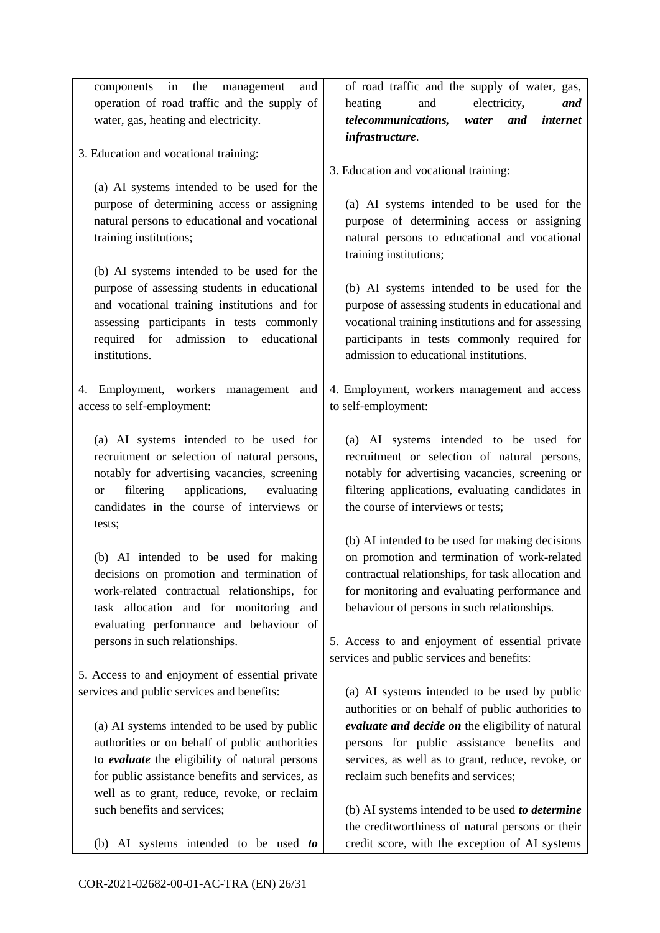components in the management and operation of road traffic and the supply of water, gas, heating and electricity.

3. Education and vocational training:

(a) AI systems intended to be used for the purpose of determining access or assigning natural persons to educational and vocational training institutions;

(b) AI systems intended to be used for the purpose of assessing students in educational and vocational training institutions and for assessing participants in tests commonly required for admission to educational institutions.

4. Employment, workers management and access to self-employment:

(a) AI systems intended to be used for recruitment or selection of natural persons, notably for advertising vacancies, screening or filtering applications, evaluating candidates in the course of interviews or tests;

(b) AI intended to be used for making decisions on promotion and termination of work-related contractual relationships, for task allocation and for monitoring and evaluating performance and behaviour of persons in such relationships.

5. Access to and enjoyment of essential private services and public services and benefits:

(a) AI systems intended to be used by public authorities or on behalf of public authorities to *evaluate* the eligibility of natural persons for public assistance benefits and services, as well as to grant, reduce, revoke, or reclaim such benefits and services;

(b) AI systems intended to be used *to* 

of road traffic and the supply of water, gas, heating and electricity*, and telecommunications, water and internet infrastructure*.

3. Education and vocational training:

(a) AI systems intended to be used for the purpose of determining access or assigning natural persons to educational and vocational training institutions;

(b) AI systems intended to be used for the purpose of assessing students in educational and vocational training institutions and for assessing participants in tests commonly required for admission to educational institutions.

4. Employment, workers management and access to self-employment:

(a) AI systems intended to be used for recruitment or selection of natural persons, notably for advertising vacancies, screening or filtering applications, evaluating candidates in the course of interviews or tests;

(b) AI intended to be used for making decisions on promotion and termination of work-related contractual relationships, for task allocation and for monitoring and evaluating performance and behaviour of persons in such relationships.

5. Access to and enjoyment of essential private services and public services and benefits:

(a) AI systems intended to be used by public authorities or on behalf of public authorities to *evaluate and decide on* the eligibility of natural persons for public assistance benefits and services, as well as to grant, reduce, revoke, or reclaim such benefits and services;

(b) AI systems intended to be used *to determine* the creditworthiness of natural persons or their credit score, with the exception of AI systems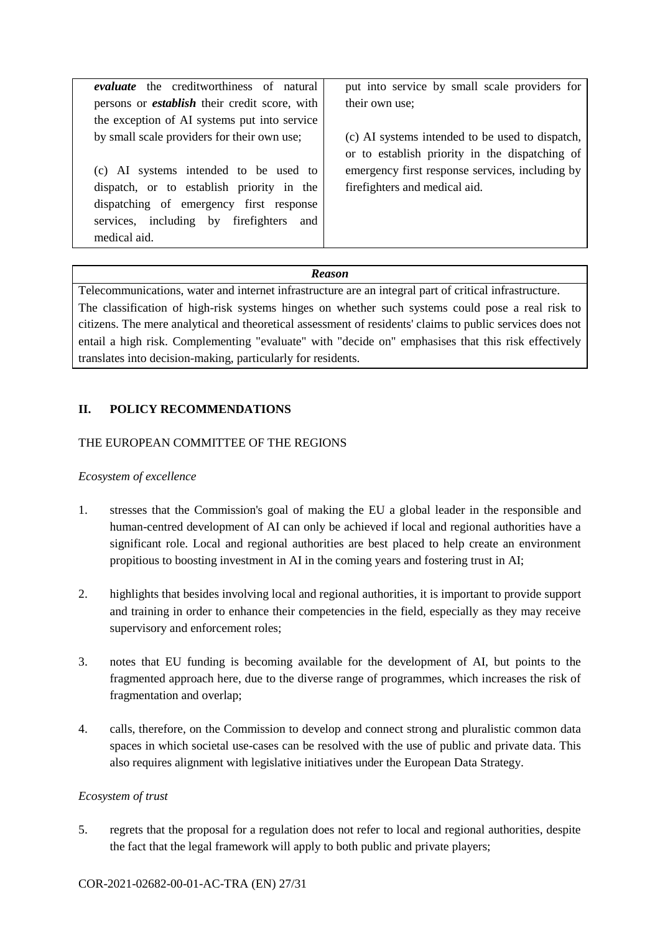| <i>evaluate</i> the creditworthiness of natural      | put into service by small scale providers for   |
|------------------------------------------------------|-------------------------------------------------|
| persons or <i>establish</i> their credit score, with | their own use;                                  |
| the exception of AI systems put into service         |                                                 |
| by small scale providers for their own use;          | (c) AI systems intended to be used to dispatch, |
|                                                      | or to establish priority in the dispatching of  |
| (c) AI systems intended to be used to                | emergency first response services, including by |
| dispatch, or to establish priority in the            | fire fighters and medical aid.                  |
| dispatching of emergency first response              |                                                 |
| services, including by firefighters and              |                                                 |
| medical aid.                                         |                                                 |

Telecommunications, water and internet infrastructure are an integral part of critical infrastructure. The classification of high-risk systems hinges on whether such systems could pose a real risk to citizens. The mere analytical and theoretical assessment of residents' claims to public services does not entail a high risk. Complementing "evaluate" with "decide on" emphasises that this risk effectively translates into decision-making, particularly for residents.

## **II. POLICY RECOMMENDATIONS**

### THE EUROPEAN COMMITTEE OF THE REGIONS

## *Ecosystem of excellence*

- 1. stresses that the Commission's goal of making the EU a global leader in the responsible and human-centred development of AI can only be achieved if local and regional authorities have a significant role. Local and regional authorities are best placed to help create an environment propitious to boosting investment in AI in the coming years and fostering trust in AI;
- 2. highlights that besides involving local and regional authorities, it is important to provide support and training in order to enhance their competencies in the field, especially as they may receive supervisory and enforcement roles;
- 3. notes that EU funding is becoming available for the development of AI, but points to the fragmented approach here, due to the diverse range of programmes, which increases the risk of fragmentation and overlap;
- 4. calls, therefore, on the Commission to develop and connect strong and pluralistic common data spaces in which societal use-cases can be resolved with the use of public and private data. This also requires alignment with legislative initiatives under the European Data Strategy.

### *Ecosystem of trust*

5. regrets that the proposal for a regulation does not refer to local and regional authorities, despite the fact that the legal framework will apply to both public and private players;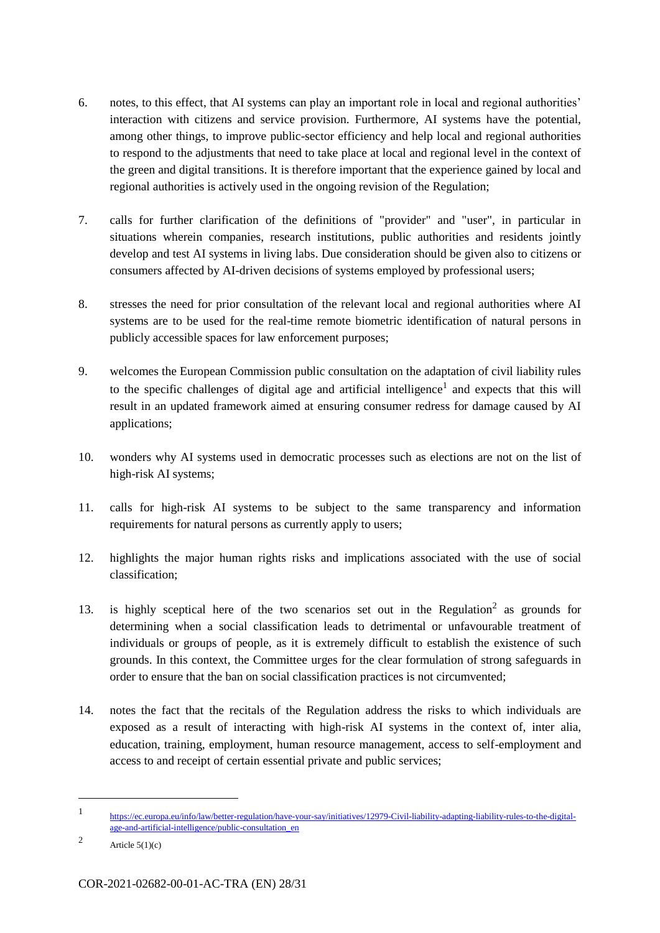- 6. notes, to this effect, that AI systems can play an important role in local and regional authorities' interaction with citizens and service provision. Furthermore, AI systems have the potential, among other things, to improve public-sector efficiency and help local and regional authorities to respond to the adjustments that need to take place at local and regional level in the context of the green and digital transitions. It is therefore important that the experience gained by local and regional authorities is actively used in the ongoing revision of the Regulation;
- 7. calls for further clarification of the definitions of "provider" and "user", in particular in situations wherein companies, research institutions, public authorities and residents jointly develop and test AI systems in living labs. Due consideration should be given also to citizens or consumers affected by AI-driven decisions of systems employed by professional users;
- 8. stresses the need for prior consultation of the relevant local and regional authorities where AI systems are to be used for the real-time remote biometric identification of natural persons in publicly accessible spaces for law enforcement purposes;
- 9. welcomes the European Commission public consultation on the adaptation of civil liability rules to the specific challenges of digital age and artificial intelligence<sup>1</sup> and expects that this will result in an updated framework aimed at ensuring consumer redress for damage caused by AI applications;
- 10. wonders why AI systems used in democratic processes such as elections are not on the list of high-risk AI systems;
- 11. calls for high-risk AI systems to be subject to the same transparency and information requirements for natural persons as currently apply to users;
- 12. highlights the major human rights risks and implications associated with the use of social classification;
- 13. is highly sceptical here of the two scenarios set out in the Regulation<sup>2</sup> as grounds for determining when a social classification leads to detrimental or unfavourable treatment of individuals or groups of people, as it is extremely difficult to establish the existence of such grounds. In this context, the Committee urges for the clear formulation of strong safeguards in order to ensure that the ban on social classification practices is not circumvented;
- 14. notes the fact that the recitals of the Regulation address the risks to which individuals are exposed as a result of interacting with high-risk AI systems in the context of, inter alia, education, training, employment, human resource management, access to self-employment and access to and receipt of certain essential private and public services;

-

<sup>1</sup> [https://ec.europa.eu/info/law/better-regulation/have-your-say/initiatives/12979-Civil-liability-adapting-liability-rules-to-the-digital](https://ec.europa.eu/info/law/better-regulation/have-your-say/initiatives/12979-Civil-liability-adapting-liability-rules-to-the-digital-age-and-artificial-intelligence/public-consultation_en)[age-and-artificial-intelligence/public-consultation\\_en](https://ec.europa.eu/info/law/better-regulation/have-your-say/initiatives/12979-Civil-liability-adapting-liability-rules-to-the-digital-age-and-artificial-intelligence/public-consultation_en) 

<sup>2</sup> Article  $5(1)(c)$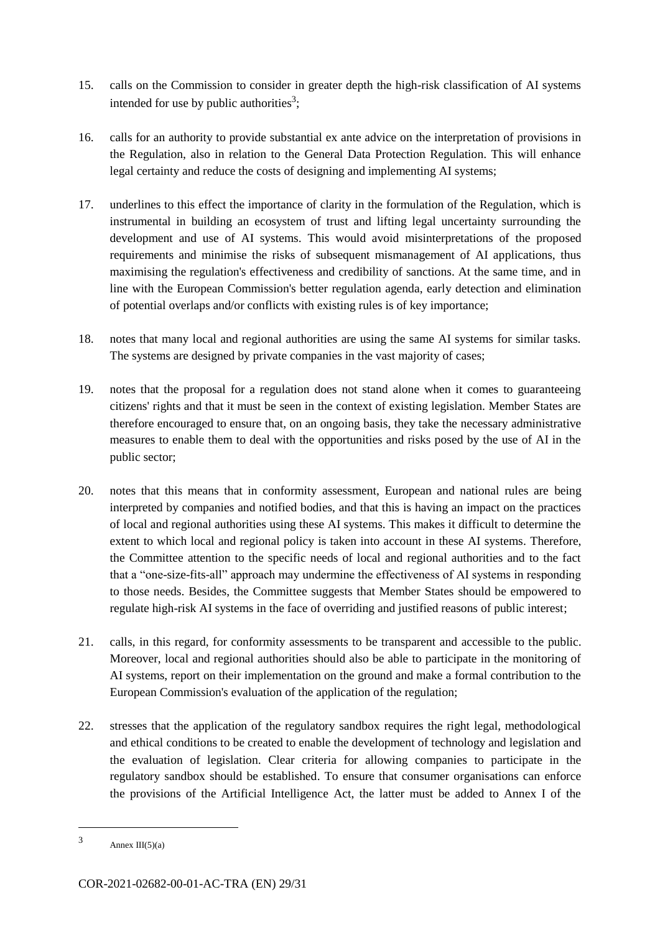- 15. calls on the Commission to consider in greater depth the high-risk classification of AI systems intended for use by public authorities<sup>3</sup>;
- 16. calls for an authority to provide substantial ex ante advice on the interpretation of provisions in the Regulation, also in relation to the General Data Protection Regulation. This will enhance legal certainty and reduce the costs of designing and implementing AI systems;
- 17. underlines to this effect the importance of clarity in the formulation of the Regulation, which is instrumental in building an ecosystem of trust and lifting legal uncertainty surrounding the development and use of AI systems. This would avoid misinterpretations of the proposed requirements and minimise the risks of subsequent mismanagement of AI applications, thus maximising the regulation's effectiveness and credibility of sanctions. At the same time, and in line with the European Commission's better regulation agenda, early detection and elimination of potential overlaps and/or conflicts with existing rules is of key importance;
- 18. notes that many local and regional authorities are using the same AI systems for similar tasks. The systems are designed by private companies in the vast majority of cases;
- 19. notes that the proposal for a regulation does not stand alone when it comes to guaranteeing citizens' rights and that it must be seen in the context of existing legislation. Member States are therefore encouraged to ensure that, on an ongoing basis, they take the necessary administrative measures to enable them to deal with the opportunities and risks posed by the use of AI in the public sector;
- 20. notes that this means that in conformity assessment, European and national rules are being interpreted by companies and notified bodies, and that this is having an impact on the practices of local and regional authorities using these AI systems. This makes it difficult to determine the extent to which local and regional policy is taken into account in these AI systems. Therefore, the Committee attention to the specific needs of local and regional authorities and to the fact that a "one-size-fits-all" approach may undermine the effectiveness of AI systems in responding to those needs. Besides, the Committee suggests that Member States should be empowered to regulate high-risk AI systems in the face of overriding and justified reasons of public interest;
- 21. calls, in this regard, for conformity assessments to be transparent and accessible to the public. Moreover, local and regional authorities should also be able to participate in the monitoring of AI systems, report on their implementation on the ground and make a formal contribution to the European Commission's evaluation of the application of the regulation;
- 22. stresses that the application of the regulatory sandbox requires the right legal, methodological and ethical conditions to be created to enable the development of technology and legislation and the evaluation of legislation. Clear criteria for allowing companies to participate in the regulatory sandbox should be established. To ensure that consumer organisations can enforce the provisions of the Artificial Intelligence Act, the latter must be added to Annex I of the

-

<sup>3</sup> Annex III(5)(a)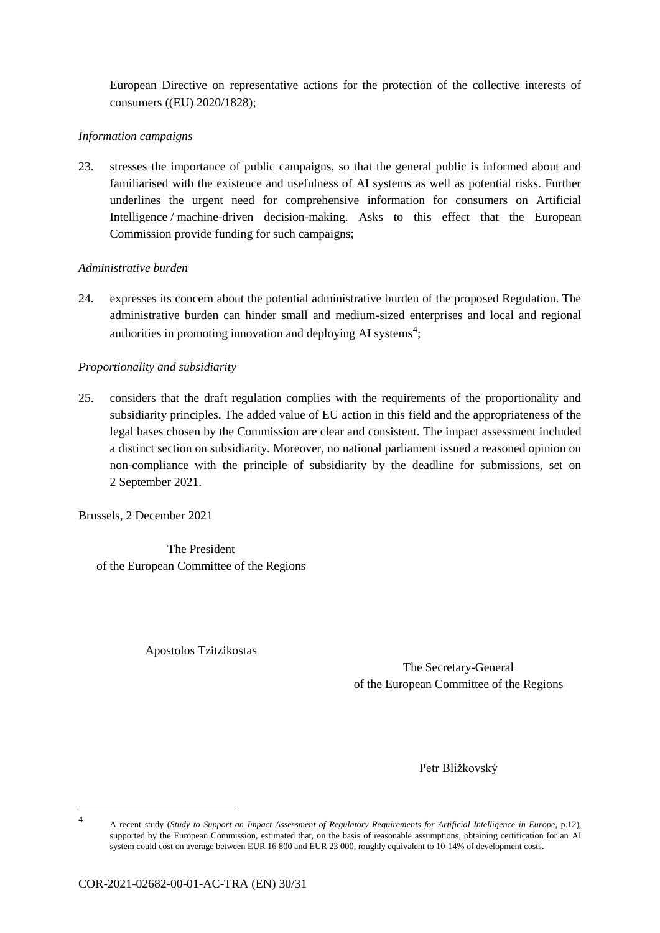European Directive on representative actions for the protection of the collective interests of consumers ((EU) 2020/1828);

## *Information campaigns*

23. stresses the importance of public campaigns, so that the general public is informed about and familiarised with the existence and usefulness of AI systems as well as potential risks. Further underlines the urgent need for comprehensive information for consumers on Artificial Intelligence / machine-driven decision-making. Asks to this effect that the European Commission provide funding for such campaigns;

## *Administrative burden*

24. expresses its concern about the potential administrative burden of the proposed Regulation. The administrative burden can hinder small and medium-sized enterprises and local and regional authorities in promoting innovation and deploying AI systems<sup>4</sup>;

## *Proportionality and subsidiarity*

25. considers that the draft regulation complies with the requirements of the proportionality and subsidiarity principles. The added value of EU action in this field and the appropriateness of the legal bases chosen by the Commission are clear and consistent. The impact assessment included a distinct section on subsidiarity. Moreover, no national parliament issued a reasoned opinion on non-compliance with the principle of subsidiarity by the deadline for submissions, set on 2 September 2021.

Brussels, 2 December 2021

The President of the European Committee of the Regions

Apostolos Tzitzikostas

The Secretary-General of the European Committee of the Regions

Petr Blížkovský

-4

A recent study (*Study to Support an Impact Assessment of Regulatory Requirements for Artificial Intelligence in Europe*, p.12), supported by the European Commission, estimated that, on the basis of reasonable assumptions, obtaining certification for an AI system could cost on average between EUR 16 800 and EUR 23 000, roughly equivalent to 10-14% of development costs.